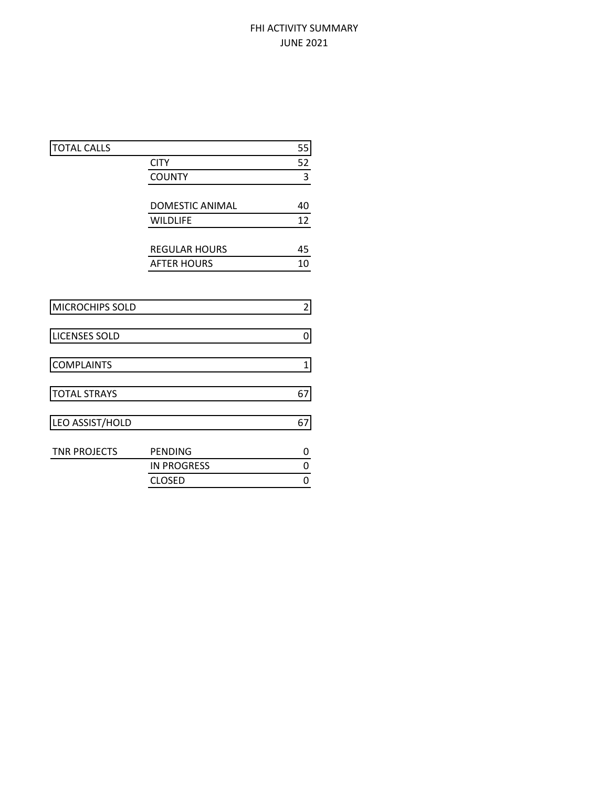# FHI ACTIVITY SUMMARY JUNE 2021

| <b>TOTAL CALLS</b>   |                      | 55                      |
|----------------------|----------------------|-------------------------|
|                      | <b>CITY</b>          | 52                      |
|                      | <b>COUNTY</b>        | 3                       |
|                      |                      |                         |
|                      | DOMESTIC ANIMAL      | 40                      |
|                      | <b>WILDLIFE</b>      | 12                      |
|                      |                      |                         |
|                      | <b>REGULAR HOURS</b> | 45                      |
|                      | <b>AFTER HOURS</b>   | 10                      |
|                      |                      |                         |
|                      |                      |                         |
| MICROCHIPS SOLD      |                      | $\overline{\mathbf{c}}$ |
|                      |                      |                         |
| <b>LICENSES SOLD</b> |                      | 0                       |
|                      |                      |                         |
| <b>COMPLAINTS</b>    |                      | 1                       |
|                      |                      |                         |
| <b>TOTAL STRAYS</b>  |                      | 67                      |
|                      |                      |                         |
| LEO ASSIST/HOLD      |                      | 67                      |
| <b>TNR PROJECTS</b>  | <b>PENDING</b>       | 0                       |
|                      | <b>IN PROGRESS</b>   | 0                       |
|                      | <b>CLOSED</b>        | 0                       |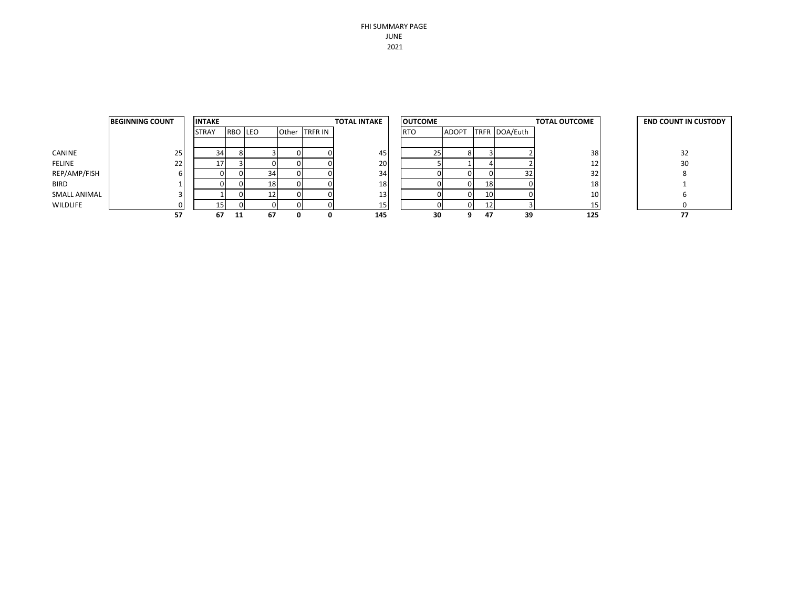FHI SUMMARY PAGE JUNE 2021

|               | <b>BEGINNING COUNT</b> | <b>INTAKE</b> |         |                 |               | <b>TOTAL INTAKE</b> | <b>OUTCOME</b><br><b>TOTAL OUTCOME</b> |              |    | <b>END COUNT IN CUSTODY</b> |     |    |
|---------------|------------------------|---------------|---------|-----------------|---------------|---------------------|----------------------------------------|--------------|----|-----------------------------|-----|----|
|               |                        | <b>STRAY</b>  | RBO LEO |                 | Other TRFR IN |                     | <b>RTO</b>                             | <b>ADOPT</b> |    | TRFR DOA/Euth               |     |    |
|               |                        |               |         |                 |               |                     |                                        |              |    |                             |     |    |
| CANINE        | 25                     | 34            |         |                 |               | 45                  |                                        |              |    |                             | 38  | 32 |
| <b>FELINE</b> | 22                     | 17            |         |                 |               | 20                  |                                        |              |    |                             | 12  | 30 |
| REP/AMP/FISH  | ы                      |               |         | 34              |               | 34                  |                                        |              |    | 32                          | 32  |    |
| <b>BIRD</b>   |                        |               |         | 18 <sup>1</sup> | 0             | 18                  |                                        |              | 18 |                             | 18  |    |
| SMALL ANIMAL  | $\overline{3}$         |               |         | 121             |               | 13                  |                                        |              | 10 |                             | 10  |    |
| WILDLIFE      | $\Omega$               | 15            |         |                 |               | 15 <sup>1</sup>     |                                        |              | ᅩ  |                             | LJ  |    |
|               | 57                     | 67            | -11     | 67              | 0             | 145                 | 30                                     |              | 47 | 39                          | 125 | 77 |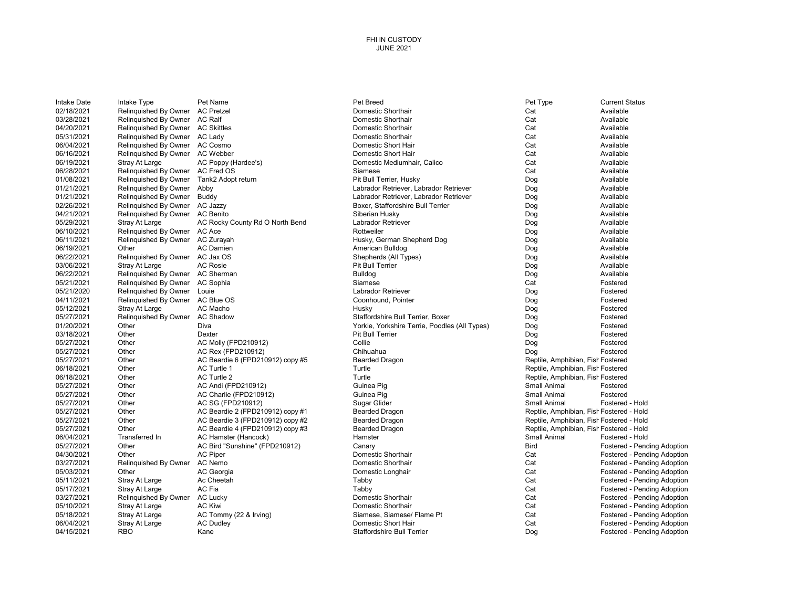#### FHI IN CUSTODY JUNE 2021

| Intake Date | Intake Type           | Pet Name                         | Pet Breed                                     | Pet Type                          | <b>Current Status</b>                    |
|-------------|-----------------------|----------------------------------|-----------------------------------------------|-----------------------------------|------------------------------------------|
| 02/18/2021  | Relinquished By Owner | <b>AC Pretzel</b>                | Domestic Shorthair                            | Cat                               | Available                                |
| 03/28/2021  | Relinquished By Owner | <b>AC Ralf</b>                   | Domestic Shorthair                            | Cat                               | Available                                |
| 04/20/2021  | Relinquished By Owner | <b>AC Skittles</b>               | Domestic Shorthair                            | Cat                               | Available                                |
| 05/31/2021  | Relinquished By Owner | AC Lady                          | Domestic Shorthair                            | Cat                               | Available                                |
| 06/04/2021  | Relinguished By Owner | <b>AC Cosmo</b>                  | Domestic Short Hair                           | Cat                               | Available                                |
| 06/16/2021  | Relinquished By Owner | AC Webber                        | Domestic Short Hair                           | Cat                               | Available                                |
| 06/19/2021  | Stray At Large        | AC Poppy (Hardee's)              | Domestic Mediumhair, Calico                   | Cat                               | Available                                |
| 06/28/2021  | Relinquished By Owner | AC Fred OS                       | Siamese                                       | Cat                               | Available                                |
| 01/08/2021  | Relinquished By Owner | Tank2 Adopt return               | Pit Bull Terrier, Husky                       | Dog                               | Available                                |
| 01/21/2021  | Relinquished By Owner | Abby                             | Labrador Retriever, Labrador Retriever        | Dog                               | Available                                |
| 01/21/2021  | Relinguished By Owner | Buddy                            | Labrador Retriever, Labrador Retriever        | Dog                               | Available                                |
| 02/26/2021  | Relinguished By Owner | AC Jazzy                         | Boxer, Staffordshire Bull Terrier             | Dog                               | Available                                |
| 04/21/2021  | Relinquished By Owner | <b>AC Benito</b>                 | Siberian Husky                                | Dog                               | Available                                |
| 05/29/2021  | Stray At Large        | AC Rocky County Rd O North Bend  | Labrador Retriever                            | Dog                               | Available                                |
| 06/10/2021  | Relinquished By Owner | AC Ace                           | Rottweiler                                    | Dog                               | Available                                |
| 06/11/2021  | Relinquished By Owner | AC Zurayah                       | Husky, German Shepherd Dog                    | Dog                               | Available                                |
| 06/19/2021  | Other                 | <b>AC Damien</b>                 | American Bulldog                              | Dog                               | Available                                |
| 06/22/2021  | Relinquished By Owner | AC Jax OS                        | Shepherds (All Types)                         | Dog                               | Available                                |
| 03/06/2021  | Stray At Large        | <b>AC Rosie</b>                  | Pit Bull Terrier                              | Dog                               | Available                                |
| 06/22/2021  | Relinquished By Owner | <b>AC Sherman</b>                | <b>Bulldog</b>                                | Dog                               | Available                                |
| 05/21/2021  | Relinquished By Owner | AC Sophia                        | Siamese                                       | Cat                               | Fostered                                 |
| 05/21/2020  | Relinquished By Owner | Louie                            | Labrador Retriever                            | Dog                               | Fostered                                 |
| 04/11/2021  | Relinguished By Owner | AC Blue OS                       | Coonhound, Pointer                            | Dog                               | Fostered                                 |
| 05/12/2021  | Stray At Large        | AC Macho                         | Husky                                         | Dog                               | Fostered                                 |
| 05/27/2021  | Relinquished By Owner | <b>AC Shadow</b>                 | Staffordshire Bull Terrier, Boxer             | Dog                               | Fostered                                 |
| 01/20/2021  | Other                 | Diva                             | Yorkie, Yorkshire Terrie, Poodles (All Types) | Dog                               | Fostered                                 |
| 03/18/2021  | Other                 | Dexter                           | <b>Pit Bull Terrier</b>                       | Dog                               | Fostered                                 |
| 05/27/2021  | Other                 | <b>AC Molly (FPD210912)</b>      | Collie                                        | Dog                               | Fostered                                 |
| 05/27/2021  | Other                 | AC Rex (FPD210912)               | Chihuahua                                     | Dog                               | Fostered                                 |
| 05/27/2021  | Other                 | AC Beardie 6 (FPD210912) copy #5 | Bearded Dragon                                | Reptile, Amphibian, Fish Fostered |                                          |
| 06/18/2021  | Other                 | AC Turtle 1                      | Turtle                                        | Reptile, Amphibian, Fish Fostered |                                          |
| 06/18/2021  | Other                 | AC Turtle 2                      | Turtle                                        | Reptile, Amphibian, Fish Fostered |                                          |
| 05/27/2021  | Other                 | AC Andi (FPD210912)              | Guinea Pig                                    | <b>Small Animal</b>               | Fostered                                 |
| 05/27/2021  | Other                 | AC Charlie (FPD210912)           | Guinea Pig                                    | Small Animal                      | Fostered                                 |
| 05/27/2021  | Other                 | AC SG (FPD210912)                | Sugar Glider                                  | Small Animal                      | Fostered - Hold                          |
| 05/27/2021  | Other                 | AC Beardie 2 (FPD210912) copy #1 | <b>Bearded Dragon</b>                         |                                   | Reptile, Amphibian, Fish Fostered - Hold |
| 05/27/2021  | Other                 | AC Beardie 3 (FPD210912) copy #2 | <b>Bearded Dragon</b>                         |                                   | Reptile, Amphibian, Fish Fostered - Hold |
| 05/27/2021  | Other                 | AC Beardie 4 (FPD210912) copy #3 | <b>Bearded Dragon</b>                         |                                   | Reptile, Amphibian, Fish Fostered - Hold |
| 06/04/2021  | Transferred In        | AC Hamster (Hancock)             | Hamster                                       | Small Animal                      | Fostered - Hold                          |
| 05/27/2021  | Other                 | AC Bird "Sunshine" (FPD210912)   | Canary                                        | <b>Bird</b>                       | Fostered - Pending Adoption              |
| 04/30/2021  | Other                 | <b>AC Piper</b>                  | Domestic Shorthair                            | Cat                               | Fostered - Pending Adoption              |
| 03/27/2021  | Relinquished By Owner | AC Nemo                          | Domestic Shorthair                            | Cat                               | Fostered - Pending Adoption              |
| 05/03/2021  | Other                 | AC Georgia                       | Domestic Longhair                             | Cat                               | Fostered - Pending Adoption              |
| 05/11/2021  | Stray At Large        | Ac Cheetah                       | Tabby                                         | Cat                               | Fostered - Pending Adoption              |
| 05/17/2021  | Stray At Large        | AC Fia                           | Tabby                                         | Cat                               | Fostered - Pending Adoption              |
| 03/27/2021  | Relinquished By Owner | <b>AC Lucky</b>                  | Domestic Shorthair                            | Cat                               | Fostered - Pending Adoption              |
| 05/10/2021  | Stray At Large        | <b>AC Kiwi</b>                   | Domestic Shorthair                            | Cat                               | Fostered - Pending Adoption              |
| 05/18/2021  | Stray At Large        | AC Tommy (22 & Irving)           | Siamese, Siamese/ Flame Pt                    | Cat                               | Fostered - Pending Adoption              |
| 06/04/2021  | Stray At Large        | <b>AC Dudley</b>                 | Domestic Short Hair                           | Cat                               | Fostered - Pending Adoption              |
| 04/15/2021  | <b>RBO</b>            | Kane                             | Staffordshire Bull Terrier                    | Dog                               | Fostered - Pending Adoption              |
|             |                       |                                  |                                               |                                   |                                          |

| et Breed                                     | Pet Type    |
|----------------------------------------------|-------------|
| omestic Shorthair                            | Cat         |
| omestic Shorthair                            | Cat         |
| omestic Shorthair                            | Cat         |
| omestic Shorthair                            | Cat         |
| omestic Short Hair                           | Cat         |
| omestic Short Hair                           | Cat         |
| omestic Mediumhair, Calico                   | Cat         |
| iamese                                       | Cat         |
| it Bull Terrier, Husky                       | Dog         |
| abrador Retriever, Labrador Retriever        | Dog         |
| abrador Retriever, Labrador Retriever        | Dog         |
| oxer, Staffordshire Bull Terrier             | Dog         |
| iberian Husky                                | Dog         |
| abrador Retriever                            | Dog         |
| ottweiler                                    | Dog         |
| usky, German Shepherd Dog                    | Dog         |
| merican Bulldog                              | Dog         |
| hepherds (All Types)                         | Dog         |
| it Bull Terrier                              | Dog         |
| ulldog                                       | Dog         |
| iamese                                       | Cat         |
| abrador Retriever                            | Dog         |
| oonhound, Pointer                            | Dog         |
| usky                                         | Dog         |
| taffordshire Bull Terrier, Boxer             | Dog         |
| orkie, Yorkshire Terrie, Poodles (All Types) | Dog         |
| it Bull Terrier                              | Dog         |
| ollie                                        | Dog         |
| hihuahua                                     | Dog         |
| earded Dragon                                | Reptile,    |
| urtle                                        | Reptile,    |
| urtle                                        | Reptile,    |
| uinea Pig                                    | Small Ar    |
| uinea Pig                                    | Small Ar    |
| ugar Glider                                  | Small Ar    |
| earded Dragon                                | Reptile,    |
| earded Dragon                                | Reptile,    |
| earded Dragon                                | Reptile,    |
| amster                                       | Small Ar    |
| anary                                        | <b>Bird</b> |
| omestic Shorthair                            | Cat         |
| omestic Shorthair                            | Cat         |
| omestic Longhair                             | Cat         |
| abby                                         | Cat         |
| abby                                         | Cat         |
| omestic Shorthair                            | Cat         |
| omestic Shorthair                            | Cat         |
| iamese, Siamese/ Flame Pt                    | Cat         |
| omestic Short Hair                           | Cat         |
| taffordshire Bull Terrier                    | Dog         |
|                                              |             |

| t                                      | Available                 |
|----------------------------------------|---------------------------|
| t                                      | Available                 |
| t                                      | Available                 |
| t                                      | Available                 |
| t                                      | Available                 |
| t                                      | Available                 |
| t                                      | Available                 |
| t                                      | Available                 |
| g                                      | Available                 |
| g                                      | Available                 |
| g                                      | Available                 |
| g                                      | Available                 |
| g                                      | Available                 |
| g                                      | Available                 |
| g                                      | Available                 |
| g                                      | Available                 |
| g                                      | Available                 |
| g                                      | Available                 |
| g                                      | Available                 |
| g                                      | Available                 |
| t                                      | Fostered                  |
| g                                      | Fostered                  |
| g                                      | Fostered                  |
| g                                      | Fostered                  |
| g                                      | Fostered                  |
| g                                      | Fostered                  |
| g                                      | Fostered                  |
| g                                      | Fostered                  |
| g                                      | Fostered                  |
| ptile, Amphibian, Fish Fostered        |                           |
| ptile, Amphibian, Fish Fostered        |                           |
| ptile, Amphibian, Fish Fostered        |                           |
| ıall Animal                            | Fostered                  |
| ıall Animal                            | Fostered                  |
| ıall Animal                            | Fostered - Hold           |
| ptile, Amphibian, Fish Fostered - Hold |                           |
| ptile, Amphibian, Fish Fostered - Hold |                           |
| ptile, Amphibian, Fish Fostered - Hold |                           |
| ıall Animal                            | Fostered - Hold           |
| d                                      | Fostered - Pending Adopti |
| t                                      | Fostered - Pending Adopti |
| t                                      | Fostered - Pending Adopti |
| t                                      | Fostered - Pending Adopti |
| t                                      | Fostered - Pending Adopti |
| t                                      | Fostered - Pending Adopti |
| t                                      | Fostered - Pending Adopti |
| t                                      | Fostered - Pending Adopti |
| t                                      | Fostered - Pending Adopti |
| t                                      | Fostered - Pending Adopti |
| g                                      | Fostered - Pending Adopti |
|                                        |                           |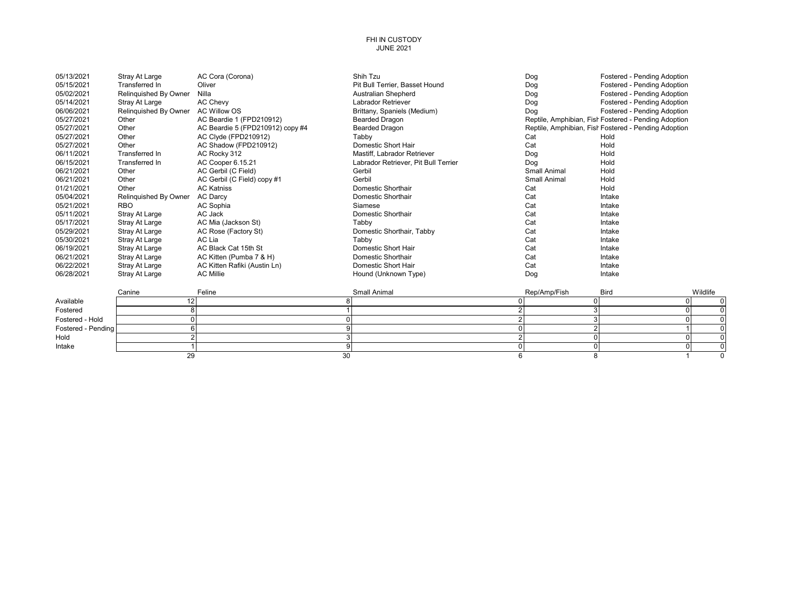#### FHI IN CUSTODY JUNE 2021

| 05/13/2021         | <b>Stray At Large</b> | AC Cora (Corona)                 | Shih Tzu                             | Dog                 | Fostered - Pending Adoption                          |          |
|--------------------|-----------------------|----------------------------------|--------------------------------------|---------------------|------------------------------------------------------|----------|
| 05/15/2021         | Transferred In        | Oliver                           | Pit Bull Terrier, Basset Hound       | Dog                 | Fostered - Pending Adoption                          |          |
| 05/02/2021         | Relinguished By Owner | Nilla                            | Australian Shepherd                  | Dog                 | Fostered - Pending Adoption                          |          |
| 05/14/2021         | Stray At Large        | <b>AC Chevy</b>                  | <b>Labrador Retriever</b>            | Dog                 | Fostered - Pending Adoption                          |          |
| 06/06/2021         | Relinguished By Owner | <b>AC Willow OS</b>              | Brittany, Spaniels (Medium)          | Dog                 | Fostered - Pending Adoption                          |          |
| 05/27/2021         | Other                 | AC Beardie 1 (FPD210912)         | <b>Bearded Dragon</b>                |                     | Reptile, Amphibian, Fish Fostered - Pending Adoption |          |
| 05/27/2021         | Other                 | AC Beardie 5 (FPD210912) copy #4 | <b>Bearded Dragon</b>                |                     | Reptile, Amphibian, Fish Fostered - Pending Adoption |          |
| 05/27/2021         | Other                 | AC Clyde (FPD210912)             | Tabby                                | Cat                 | Hold                                                 |          |
| 05/27/2021         | Other                 | AC Shadow (FPD210912)            | Domestic Short Hair                  | Cat                 | Hold                                                 |          |
| 06/11/2021         | <b>Transferred In</b> | AC Rocky 312                     | Mastiff, Labrador Retriever          | Dog                 | Hold                                                 |          |
| 06/15/2021         | Transferred In        | AC Cooper 6.15.21                | Labrador Retriever, Pit Bull Terrier | Dog                 | Hold                                                 |          |
| 06/21/2021         | Other                 | AC Gerbil (C Field)              | Gerbil                               | Small Animal        | Hold                                                 |          |
| 06/21/2021         | Other                 | AC Gerbil (C Field) copy #1      | Gerbil                               | <b>Small Animal</b> | Hold                                                 |          |
| 01/21/2021         | Other                 | <b>AC Katniss</b>                | Domestic Shorthair                   | Cat                 | Hold                                                 |          |
| 05/04/2021         | Relinquished By Owner | <b>AC Darcv</b>                  | Domestic Shorthair                   | Cat                 | Intake                                               |          |
| 05/21/2021         | <b>RBO</b>            | AC Sophia                        | Siamese                              | Cat                 | Intake                                               |          |
| 05/11/2021         | Stray At Large        | AC Jack                          | Domestic Shorthair                   | Cat                 | Intake                                               |          |
| 05/17/2021         | Stray At Large        | AC Mia (Jackson St)              | Tabby                                | Cat                 | Intake                                               |          |
| 05/29/2021         | Stray At Large        | AC Rose (Factory St)             | Domestic Shorthair, Tabby            | Cat                 | Intake                                               |          |
| 05/30/2021         | Stray At Large        | AC Lia                           | Tabby                                | Cat                 | Intake                                               |          |
| 06/19/2021         | Stray At Large        | AC Black Cat 15th St             | Domestic Short Hair                  | Cat                 | Intake                                               |          |
| 06/21/2021         | Stray At Large        | AC Kitten (Pumba 7 & H)          | Domestic Shorthair                   | Cat                 | Intake                                               |          |
| 06/22/2021         | <b>Stray At Large</b> | AC Kitten Rafiki (Austin Ln)     | Domestic Short Hair                  | Cat                 | Intake                                               |          |
| 06/28/2021         | Stray At Large        | <b>AC Millie</b>                 | Hound (Unknown Type)                 | Dog                 | Intake                                               |          |
|                    |                       |                                  |                                      |                     |                                                      |          |
|                    | Canine                | Feline                           | Small Animal                         | Rep/Amp/Fish        | <b>Bird</b>                                          | Wildlife |
| Available          | 12                    |                                  |                                      | $\Omega$<br>0       |                                                      | $\Omega$ |
| Fostered           | 8                     |                                  |                                      | 3<br>2              |                                                      | $\Omega$ |
| Fostered - Hold    | $\Omega$              |                                  |                                      | 3                   |                                                      | $\Omega$ |
| Fostered - Pending |                       |                                  |                                      | $\overline{2}$      |                                                      |          |
| Hold               |                       |                                  |                                      |                     |                                                      | $\Omega$ |
| Intake             |                       |                                  |                                      | $\Omega$            |                                                      |          |
|                    | 29                    | 30                               |                                      | 6<br>8              |                                                      | $\Omega$ |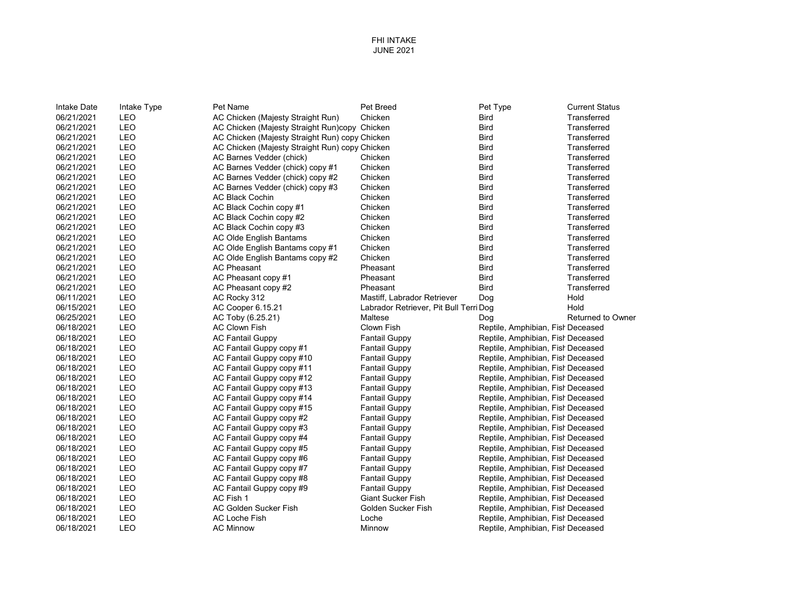| 06/21/2021<br>LEO<br>AC Chicken (Majesty Straight Run)<br>Chicken<br><b>Bird</b><br>Transferred<br>LEO<br>06/21/2021<br>AC Chicken (Majesty Straight Run)copy Chicken<br><b>Bird</b><br>Transferred<br>06/21/2021<br><b>LEO</b><br>AC Chicken (Majesty Straight Run) copy Chicken<br>Transferred<br><b>Bird</b><br>LEO<br>06/21/2021<br>AC Chicken (Majesty Straight Run) copy Chicken<br><b>Bird</b><br>Transferred<br>LEO<br>06/21/2021<br>AC Barnes Vedder (chick)<br>Chicken<br><b>Bird</b><br>Transferred<br>06/21/2021<br>LEO<br><b>Bird</b><br>Transferred<br>AC Barnes Vedder (chick) copy #1<br>Chicken<br>LEO<br>06/21/2021<br><b>Bird</b><br>Transferred<br>AC Barnes Vedder (chick) copy #2<br>Chicken<br>LEO<br>06/21/2021<br><b>Bird</b><br>Transferred<br>AC Barnes Vedder (chick) copy #3<br>Chicken<br>LEO<br>06/21/2021<br><b>AC Black Cochin</b><br>Chicken<br><b>Bird</b><br>Transferred<br>06/21/2021<br><b>LEO</b><br><b>Bird</b><br>Transferred<br>AC Black Cochin copy #1<br>Chicken<br>LEO<br>06/21/2021<br>Transferred<br>AC Black Cochin copy #2<br>Chicken<br>Bird<br>06/21/2021<br>LEO<br>AC Black Cochin copy #3<br>Chicken<br><b>Bird</b><br>Transferred<br>LEO<br>06/21/2021<br><b>AC Olde English Bantams</b><br>Chicken<br><b>Bird</b><br>Transferred<br>LEO<br>06/21/2021<br>AC Olde English Bantams copy #1<br>Transferred<br>Chicken<br><b>Bird</b><br><b>LEO</b><br>06/21/2021<br><b>Bird</b><br>Transferred<br>AC Olde English Bantams copy #2<br>Chicken<br>LEO<br>06/21/2021<br><b>AC Pheasant</b><br>Transferred<br>Pheasant<br><b>Bird</b><br>06/21/2021<br><b>LEO</b><br>Pheasant<br><b>Bird</b><br>Transferred<br>AC Pheasant copy #1<br>06/21/2021<br><b>LEO</b><br>Pheasant<br>Transferred<br>AC Pheasant copy #2<br>Bird<br>LEO<br>06/11/2021<br>Hold<br>AC Rocky 312<br>Mastiff, Labrador Retriever<br>Dog<br>LEO<br>06/15/2021<br>Hold<br>AC Cooper 6.15.21<br>Labrador Retriever, Pit Bull Terri Dog<br>LEO<br>06/25/2021<br>AC Toby (6.25.21)<br>Maltese<br>Dog<br>LEO<br><b>AC Clown Fish</b><br>06/18/2021<br>Clown Fish<br>Reptile, Amphibian, Fish Deceased<br>LEO<br>06/18/2021<br><b>AC Fantail Guppy</b><br>Reptile, Amphibian, Fish Deceased<br><b>Fantail Guppy</b><br>LEO<br>06/18/2021<br>AC Fantail Guppy copy #1<br><b>Fantail Guppy</b><br>Reptile, Amphibian, Fish Deceased<br>LEO<br>06/18/2021<br>AC Fantail Guppy copy #10<br>Reptile, Amphibian, Fish Deceased<br><b>Fantail Guppy</b><br><b>LEO</b><br>06/18/2021<br>AC Fantail Guppy copy #11<br><b>Fantail Guppy</b><br>Reptile, Amphibian, Fish Deceased<br><b>LEO</b><br>06/18/2021<br>AC Fantail Guppy copy #12<br><b>Fantail Guppy</b><br>Reptile, Amphibian, Fish Deceased<br>LEO<br>06/18/2021<br>AC Fantail Guppy copy #13<br><b>Fantail Guppy</b><br>Reptile, Amphibian, Fish Deceased<br><b>LEO</b><br>06/18/2021<br>Reptile, Amphibian, Fish Deceased<br>AC Fantail Guppy copy #14<br><b>Fantail Guppy</b><br>LEO<br>06/18/2021<br>AC Fantail Guppy copy #15<br><b>Fantail Guppy</b><br>Reptile, Amphibian, Fish Deceased<br>LEO<br>06/18/2021<br>AC Fantail Guppy copy #2<br><b>Fantail Guppy</b><br>Reptile, Amphibian, Fish Deceased<br>06/18/2021<br>LEO<br>AC Fantail Guppy copy #3<br><b>Fantail Guppy</b><br>Reptile, Amphibian, Fish Deceased<br><b>LEO</b><br>06/18/2021<br>AC Fantail Guppy copy #4<br>Reptile, Amphibian, Fish Deceased<br><b>Fantail Guppy</b><br><b>LEO</b><br>06/18/2021<br>AC Fantail Guppy copy #5<br><b>Fantail Guppy</b><br>Reptile, Amphibian, Fish Deceased<br>06/18/2021<br><b>LEO</b><br>AC Fantail Guppy copy #6<br><b>Fantail Guppy</b><br>Reptile, Amphibian, Fish Deceased<br><b>LEO</b><br>06/18/2021<br>AC Fantail Guppy copy #7<br>Reptile, Amphibian, Fish Deceased<br><b>Fantail Guppy</b><br>LEO<br>06/18/2021<br>AC Fantail Guppy copy #8<br><b>Fantail Guppy</b><br>Reptile, Amphibian, Fish Deceased<br>LEO<br>06/18/2021<br>AC Fantail Guppy copy #9<br><b>Fantail Guppy</b><br>Reptile, Amphibian, Fish Deceased<br>LEO<br>AC Fish 1<br>06/18/2021<br><b>Giant Sucker Fish</b><br>Reptile, Amphibian, Fish Deceased<br><b>AC Golden Sucker Fish</b><br>06/18/2021<br>LEO<br>Reptile, Amphibian, Fish Deceased<br>Golden Sucker Fish<br>LEO<br>06/18/2021<br><b>AC Loche Fish</b><br>Loche<br>Reptile, Amphibian, Fish Deceased<br>LEO<br>06/18/2021<br><b>AC Minnow</b><br>Minnow<br>Reptile, Amphibian, Fish Deceased | Intake Date | Intake Type | Pet Name | Pet Breed | Pet Type | <b>Current Status</b>    |
|-----------------------------------------------------------------------------------------------------------------------------------------------------------------------------------------------------------------------------------------------------------------------------------------------------------------------------------------------------------------------------------------------------------------------------------------------------------------------------------------------------------------------------------------------------------------------------------------------------------------------------------------------------------------------------------------------------------------------------------------------------------------------------------------------------------------------------------------------------------------------------------------------------------------------------------------------------------------------------------------------------------------------------------------------------------------------------------------------------------------------------------------------------------------------------------------------------------------------------------------------------------------------------------------------------------------------------------------------------------------------------------------------------------------------------------------------------------------------------------------------------------------------------------------------------------------------------------------------------------------------------------------------------------------------------------------------------------------------------------------------------------------------------------------------------------------------------------------------------------------------------------------------------------------------------------------------------------------------------------------------------------------------------------------------------------------------------------------------------------------------------------------------------------------------------------------------------------------------------------------------------------------------------------------------------------------------------------------------------------------------------------------------------------------------------------------------------------------------------------------------------------------------------------------------------------------------------------------------------------------------------------------------------------------------------------------------------------------------------------------------------------------------------------------------------------------------------------------------------------------------------------------------------------------------------------------------------------------------------------------------------------------------------------------------------------------------------------------------------------------------------------------------------------------------------------------------------------------------------------------------------------------------------------------------------------------------------------------------------------------------------------------------------------------------------------------------------------------------------------------------------------------------------------------------------------------------------------------------------------------------------------------------------------------------------------------------------------------------------------------------------------------------------------------------------------------------------------------------------------------------------------------------------------------------------------------------------------------------------------------------------------------------------------------------------------------------------------------------------------------------------------------------------------------------------------------------------------------------------------------------------------------------------------------------------------------------------------------------------------------------------------------------------------------|-------------|-------------|----------|-----------|----------|--------------------------|
|                                                                                                                                                                                                                                                                                                                                                                                                                                                                                                                                                                                                                                                                                                                                                                                                                                                                                                                                                                                                                                                                                                                                                                                                                                                                                                                                                                                                                                                                                                                                                                                                                                                                                                                                                                                                                                                                                                                                                                                                                                                                                                                                                                                                                                                                                                                                                                                                                                                                                                                                                                                                                                                                                                                                                                                                                                                                                                                                                                                                                                                                                                                                                                                                                                                                                                                                                                                                                                                                                                                                                                                                                                                                                                                                                                                                                                                                                                                                                                                                                                                                                                                                                                                                                                                                                                                                                                                                                 |             |             |          |           |          |                          |
|                                                                                                                                                                                                                                                                                                                                                                                                                                                                                                                                                                                                                                                                                                                                                                                                                                                                                                                                                                                                                                                                                                                                                                                                                                                                                                                                                                                                                                                                                                                                                                                                                                                                                                                                                                                                                                                                                                                                                                                                                                                                                                                                                                                                                                                                                                                                                                                                                                                                                                                                                                                                                                                                                                                                                                                                                                                                                                                                                                                                                                                                                                                                                                                                                                                                                                                                                                                                                                                                                                                                                                                                                                                                                                                                                                                                                                                                                                                                                                                                                                                                                                                                                                                                                                                                                                                                                                                                                 |             |             |          |           |          |                          |
|                                                                                                                                                                                                                                                                                                                                                                                                                                                                                                                                                                                                                                                                                                                                                                                                                                                                                                                                                                                                                                                                                                                                                                                                                                                                                                                                                                                                                                                                                                                                                                                                                                                                                                                                                                                                                                                                                                                                                                                                                                                                                                                                                                                                                                                                                                                                                                                                                                                                                                                                                                                                                                                                                                                                                                                                                                                                                                                                                                                                                                                                                                                                                                                                                                                                                                                                                                                                                                                                                                                                                                                                                                                                                                                                                                                                                                                                                                                                                                                                                                                                                                                                                                                                                                                                                                                                                                                                                 |             |             |          |           |          |                          |
|                                                                                                                                                                                                                                                                                                                                                                                                                                                                                                                                                                                                                                                                                                                                                                                                                                                                                                                                                                                                                                                                                                                                                                                                                                                                                                                                                                                                                                                                                                                                                                                                                                                                                                                                                                                                                                                                                                                                                                                                                                                                                                                                                                                                                                                                                                                                                                                                                                                                                                                                                                                                                                                                                                                                                                                                                                                                                                                                                                                                                                                                                                                                                                                                                                                                                                                                                                                                                                                                                                                                                                                                                                                                                                                                                                                                                                                                                                                                                                                                                                                                                                                                                                                                                                                                                                                                                                                                                 |             |             |          |           |          |                          |
|                                                                                                                                                                                                                                                                                                                                                                                                                                                                                                                                                                                                                                                                                                                                                                                                                                                                                                                                                                                                                                                                                                                                                                                                                                                                                                                                                                                                                                                                                                                                                                                                                                                                                                                                                                                                                                                                                                                                                                                                                                                                                                                                                                                                                                                                                                                                                                                                                                                                                                                                                                                                                                                                                                                                                                                                                                                                                                                                                                                                                                                                                                                                                                                                                                                                                                                                                                                                                                                                                                                                                                                                                                                                                                                                                                                                                                                                                                                                                                                                                                                                                                                                                                                                                                                                                                                                                                                                                 |             |             |          |           |          |                          |
|                                                                                                                                                                                                                                                                                                                                                                                                                                                                                                                                                                                                                                                                                                                                                                                                                                                                                                                                                                                                                                                                                                                                                                                                                                                                                                                                                                                                                                                                                                                                                                                                                                                                                                                                                                                                                                                                                                                                                                                                                                                                                                                                                                                                                                                                                                                                                                                                                                                                                                                                                                                                                                                                                                                                                                                                                                                                                                                                                                                                                                                                                                                                                                                                                                                                                                                                                                                                                                                                                                                                                                                                                                                                                                                                                                                                                                                                                                                                                                                                                                                                                                                                                                                                                                                                                                                                                                                                                 |             |             |          |           |          |                          |
|                                                                                                                                                                                                                                                                                                                                                                                                                                                                                                                                                                                                                                                                                                                                                                                                                                                                                                                                                                                                                                                                                                                                                                                                                                                                                                                                                                                                                                                                                                                                                                                                                                                                                                                                                                                                                                                                                                                                                                                                                                                                                                                                                                                                                                                                                                                                                                                                                                                                                                                                                                                                                                                                                                                                                                                                                                                                                                                                                                                                                                                                                                                                                                                                                                                                                                                                                                                                                                                                                                                                                                                                                                                                                                                                                                                                                                                                                                                                                                                                                                                                                                                                                                                                                                                                                                                                                                                                                 |             |             |          |           |          |                          |
|                                                                                                                                                                                                                                                                                                                                                                                                                                                                                                                                                                                                                                                                                                                                                                                                                                                                                                                                                                                                                                                                                                                                                                                                                                                                                                                                                                                                                                                                                                                                                                                                                                                                                                                                                                                                                                                                                                                                                                                                                                                                                                                                                                                                                                                                                                                                                                                                                                                                                                                                                                                                                                                                                                                                                                                                                                                                                                                                                                                                                                                                                                                                                                                                                                                                                                                                                                                                                                                                                                                                                                                                                                                                                                                                                                                                                                                                                                                                                                                                                                                                                                                                                                                                                                                                                                                                                                                                                 |             |             |          |           |          |                          |
|                                                                                                                                                                                                                                                                                                                                                                                                                                                                                                                                                                                                                                                                                                                                                                                                                                                                                                                                                                                                                                                                                                                                                                                                                                                                                                                                                                                                                                                                                                                                                                                                                                                                                                                                                                                                                                                                                                                                                                                                                                                                                                                                                                                                                                                                                                                                                                                                                                                                                                                                                                                                                                                                                                                                                                                                                                                                                                                                                                                                                                                                                                                                                                                                                                                                                                                                                                                                                                                                                                                                                                                                                                                                                                                                                                                                                                                                                                                                                                                                                                                                                                                                                                                                                                                                                                                                                                                                                 |             |             |          |           |          |                          |
|                                                                                                                                                                                                                                                                                                                                                                                                                                                                                                                                                                                                                                                                                                                                                                                                                                                                                                                                                                                                                                                                                                                                                                                                                                                                                                                                                                                                                                                                                                                                                                                                                                                                                                                                                                                                                                                                                                                                                                                                                                                                                                                                                                                                                                                                                                                                                                                                                                                                                                                                                                                                                                                                                                                                                                                                                                                                                                                                                                                                                                                                                                                                                                                                                                                                                                                                                                                                                                                                                                                                                                                                                                                                                                                                                                                                                                                                                                                                                                                                                                                                                                                                                                                                                                                                                                                                                                                                                 |             |             |          |           |          |                          |
|                                                                                                                                                                                                                                                                                                                                                                                                                                                                                                                                                                                                                                                                                                                                                                                                                                                                                                                                                                                                                                                                                                                                                                                                                                                                                                                                                                                                                                                                                                                                                                                                                                                                                                                                                                                                                                                                                                                                                                                                                                                                                                                                                                                                                                                                                                                                                                                                                                                                                                                                                                                                                                                                                                                                                                                                                                                                                                                                                                                                                                                                                                                                                                                                                                                                                                                                                                                                                                                                                                                                                                                                                                                                                                                                                                                                                                                                                                                                                                                                                                                                                                                                                                                                                                                                                                                                                                                                                 |             |             |          |           |          |                          |
|                                                                                                                                                                                                                                                                                                                                                                                                                                                                                                                                                                                                                                                                                                                                                                                                                                                                                                                                                                                                                                                                                                                                                                                                                                                                                                                                                                                                                                                                                                                                                                                                                                                                                                                                                                                                                                                                                                                                                                                                                                                                                                                                                                                                                                                                                                                                                                                                                                                                                                                                                                                                                                                                                                                                                                                                                                                                                                                                                                                                                                                                                                                                                                                                                                                                                                                                                                                                                                                                                                                                                                                                                                                                                                                                                                                                                                                                                                                                                                                                                                                                                                                                                                                                                                                                                                                                                                                                                 |             |             |          |           |          |                          |
|                                                                                                                                                                                                                                                                                                                                                                                                                                                                                                                                                                                                                                                                                                                                                                                                                                                                                                                                                                                                                                                                                                                                                                                                                                                                                                                                                                                                                                                                                                                                                                                                                                                                                                                                                                                                                                                                                                                                                                                                                                                                                                                                                                                                                                                                                                                                                                                                                                                                                                                                                                                                                                                                                                                                                                                                                                                                                                                                                                                                                                                                                                                                                                                                                                                                                                                                                                                                                                                                                                                                                                                                                                                                                                                                                                                                                                                                                                                                                                                                                                                                                                                                                                                                                                                                                                                                                                                                                 |             |             |          |           |          |                          |
|                                                                                                                                                                                                                                                                                                                                                                                                                                                                                                                                                                                                                                                                                                                                                                                                                                                                                                                                                                                                                                                                                                                                                                                                                                                                                                                                                                                                                                                                                                                                                                                                                                                                                                                                                                                                                                                                                                                                                                                                                                                                                                                                                                                                                                                                                                                                                                                                                                                                                                                                                                                                                                                                                                                                                                                                                                                                                                                                                                                                                                                                                                                                                                                                                                                                                                                                                                                                                                                                                                                                                                                                                                                                                                                                                                                                                                                                                                                                                                                                                                                                                                                                                                                                                                                                                                                                                                                                                 |             |             |          |           |          |                          |
|                                                                                                                                                                                                                                                                                                                                                                                                                                                                                                                                                                                                                                                                                                                                                                                                                                                                                                                                                                                                                                                                                                                                                                                                                                                                                                                                                                                                                                                                                                                                                                                                                                                                                                                                                                                                                                                                                                                                                                                                                                                                                                                                                                                                                                                                                                                                                                                                                                                                                                                                                                                                                                                                                                                                                                                                                                                                                                                                                                                                                                                                                                                                                                                                                                                                                                                                                                                                                                                                                                                                                                                                                                                                                                                                                                                                                                                                                                                                                                                                                                                                                                                                                                                                                                                                                                                                                                                                                 |             |             |          |           |          |                          |
|                                                                                                                                                                                                                                                                                                                                                                                                                                                                                                                                                                                                                                                                                                                                                                                                                                                                                                                                                                                                                                                                                                                                                                                                                                                                                                                                                                                                                                                                                                                                                                                                                                                                                                                                                                                                                                                                                                                                                                                                                                                                                                                                                                                                                                                                                                                                                                                                                                                                                                                                                                                                                                                                                                                                                                                                                                                                                                                                                                                                                                                                                                                                                                                                                                                                                                                                                                                                                                                                                                                                                                                                                                                                                                                                                                                                                                                                                                                                                                                                                                                                                                                                                                                                                                                                                                                                                                                                                 |             |             |          |           |          |                          |
|                                                                                                                                                                                                                                                                                                                                                                                                                                                                                                                                                                                                                                                                                                                                                                                                                                                                                                                                                                                                                                                                                                                                                                                                                                                                                                                                                                                                                                                                                                                                                                                                                                                                                                                                                                                                                                                                                                                                                                                                                                                                                                                                                                                                                                                                                                                                                                                                                                                                                                                                                                                                                                                                                                                                                                                                                                                                                                                                                                                                                                                                                                                                                                                                                                                                                                                                                                                                                                                                                                                                                                                                                                                                                                                                                                                                                                                                                                                                                                                                                                                                                                                                                                                                                                                                                                                                                                                                                 |             |             |          |           |          |                          |
|                                                                                                                                                                                                                                                                                                                                                                                                                                                                                                                                                                                                                                                                                                                                                                                                                                                                                                                                                                                                                                                                                                                                                                                                                                                                                                                                                                                                                                                                                                                                                                                                                                                                                                                                                                                                                                                                                                                                                                                                                                                                                                                                                                                                                                                                                                                                                                                                                                                                                                                                                                                                                                                                                                                                                                                                                                                                                                                                                                                                                                                                                                                                                                                                                                                                                                                                                                                                                                                                                                                                                                                                                                                                                                                                                                                                                                                                                                                                                                                                                                                                                                                                                                                                                                                                                                                                                                                                                 |             |             |          |           |          |                          |
|                                                                                                                                                                                                                                                                                                                                                                                                                                                                                                                                                                                                                                                                                                                                                                                                                                                                                                                                                                                                                                                                                                                                                                                                                                                                                                                                                                                                                                                                                                                                                                                                                                                                                                                                                                                                                                                                                                                                                                                                                                                                                                                                                                                                                                                                                                                                                                                                                                                                                                                                                                                                                                                                                                                                                                                                                                                                                                                                                                                                                                                                                                                                                                                                                                                                                                                                                                                                                                                                                                                                                                                                                                                                                                                                                                                                                                                                                                                                                                                                                                                                                                                                                                                                                                                                                                                                                                                                                 |             |             |          |           |          |                          |
|                                                                                                                                                                                                                                                                                                                                                                                                                                                                                                                                                                                                                                                                                                                                                                                                                                                                                                                                                                                                                                                                                                                                                                                                                                                                                                                                                                                                                                                                                                                                                                                                                                                                                                                                                                                                                                                                                                                                                                                                                                                                                                                                                                                                                                                                                                                                                                                                                                                                                                                                                                                                                                                                                                                                                                                                                                                                                                                                                                                                                                                                                                                                                                                                                                                                                                                                                                                                                                                                                                                                                                                                                                                                                                                                                                                                                                                                                                                                                                                                                                                                                                                                                                                                                                                                                                                                                                                                                 |             |             |          |           |          |                          |
|                                                                                                                                                                                                                                                                                                                                                                                                                                                                                                                                                                                                                                                                                                                                                                                                                                                                                                                                                                                                                                                                                                                                                                                                                                                                                                                                                                                                                                                                                                                                                                                                                                                                                                                                                                                                                                                                                                                                                                                                                                                                                                                                                                                                                                                                                                                                                                                                                                                                                                                                                                                                                                                                                                                                                                                                                                                                                                                                                                                                                                                                                                                                                                                                                                                                                                                                                                                                                                                                                                                                                                                                                                                                                                                                                                                                                                                                                                                                                                                                                                                                                                                                                                                                                                                                                                                                                                                                                 |             |             |          |           |          | <b>Returned to Owner</b> |
|                                                                                                                                                                                                                                                                                                                                                                                                                                                                                                                                                                                                                                                                                                                                                                                                                                                                                                                                                                                                                                                                                                                                                                                                                                                                                                                                                                                                                                                                                                                                                                                                                                                                                                                                                                                                                                                                                                                                                                                                                                                                                                                                                                                                                                                                                                                                                                                                                                                                                                                                                                                                                                                                                                                                                                                                                                                                                                                                                                                                                                                                                                                                                                                                                                                                                                                                                                                                                                                                                                                                                                                                                                                                                                                                                                                                                                                                                                                                                                                                                                                                                                                                                                                                                                                                                                                                                                                                                 |             |             |          |           |          |                          |
|                                                                                                                                                                                                                                                                                                                                                                                                                                                                                                                                                                                                                                                                                                                                                                                                                                                                                                                                                                                                                                                                                                                                                                                                                                                                                                                                                                                                                                                                                                                                                                                                                                                                                                                                                                                                                                                                                                                                                                                                                                                                                                                                                                                                                                                                                                                                                                                                                                                                                                                                                                                                                                                                                                                                                                                                                                                                                                                                                                                                                                                                                                                                                                                                                                                                                                                                                                                                                                                                                                                                                                                                                                                                                                                                                                                                                                                                                                                                                                                                                                                                                                                                                                                                                                                                                                                                                                                                                 |             |             |          |           |          |                          |
|                                                                                                                                                                                                                                                                                                                                                                                                                                                                                                                                                                                                                                                                                                                                                                                                                                                                                                                                                                                                                                                                                                                                                                                                                                                                                                                                                                                                                                                                                                                                                                                                                                                                                                                                                                                                                                                                                                                                                                                                                                                                                                                                                                                                                                                                                                                                                                                                                                                                                                                                                                                                                                                                                                                                                                                                                                                                                                                                                                                                                                                                                                                                                                                                                                                                                                                                                                                                                                                                                                                                                                                                                                                                                                                                                                                                                                                                                                                                                                                                                                                                                                                                                                                                                                                                                                                                                                                                                 |             |             |          |           |          |                          |
|                                                                                                                                                                                                                                                                                                                                                                                                                                                                                                                                                                                                                                                                                                                                                                                                                                                                                                                                                                                                                                                                                                                                                                                                                                                                                                                                                                                                                                                                                                                                                                                                                                                                                                                                                                                                                                                                                                                                                                                                                                                                                                                                                                                                                                                                                                                                                                                                                                                                                                                                                                                                                                                                                                                                                                                                                                                                                                                                                                                                                                                                                                                                                                                                                                                                                                                                                                                                                                                                                                                                                                                                                                                                                                                                                                                                                                                                                                                                                                                                                                                                                                                                                                                                                                                                                                                                                                                                                 |             |             |          |           |          |                          |
|                                                                                                                                                                                                                                                                                                                                                                                                                                                                                                                                                                                                                                                                                                                                                                                                                                                                                                                                                                                                                                                                                                                                                                                                                                                                                                                                                                                                                                                                                                                                                                                                                                                                                                                                                                                                                                                                                                                                                                                                                                                                                                                                                                                                                                                                                                                                                                                                                                                                                                                                                                                                                                                                                                                                                                                                                                                                                                                                                                                                                                                                                                                                                                                                                                                                                                                                                                                                                                                                                                                                                                                                                                                                                                                                                                                                                                                                                                                                                                                                                                                                                                                                                                                                                                                                                                                                                                                                                 |             |             |          |           |          |                          |
|                                                                                                                                                                                                                                                                                                                                                                                                                                                                                                                                                                                                                                                                                                                                                                                                                                                                                                                                                                                                                                                                                                                                                                                                                                                                                                                                                                                                                                                                                                                                                                                                                                                                                                                                                                                                                                                                                                                                                                                                                                                                                                                                                                                                                                                                                                                                                                                                                                                                                                                                                                                                                                                                                                                                                                                                                                                                                                                                                                                                                                                                                                                                                                                                                                                                                                                                                                                                                                                                                                                                                                                                                                                                                                                                                                                                                                                                                                                                                                                                                                                                                                                                                                                                                                                                                                                                                                                                                 |             |             |          |           |          |                          |
|                                                                                                                                                                                                                                                                                                                                                                                                                                                                                                                                                                                                                                                                                                                                                                                                                                                                                                                                                                                                                                                                                                                                                                                                                                                                                                                                                                                                                                                                                                                                                                                                                                                                                                                                                                                                                                                                                                                                                                                                                                                                                                                                                                                                                                                                                                                                                                                                                                                                                                                                                                                                                                                                                                                                                                                                                                                                                                                                                                                                                                                                                                                                                                                                                                                                                                                                                                                                                                                                                                                                                                                                                                                                                                                                                                                                                                                                                                                                                                                                                                                                                                                                                                                                                                                                                                                                                                                                                 |             |             |          |           |          |                          |
|                                                                                                                                                                                                                                                                                                                                                                                                                                                                                                                                                                                                                                                                                                                                                                                                                                                                                                                                                                                                                                                                                                                                                                                                                                                                                                                                                                                                                                                                                                                                                                                                                                                                                                                                                                                                                                                                                                                                                                                                                                                                                                                                                                                                                                                                                                                                                                                                                                                                                                                                                                                                                                                                                                                                                                                                                                                                                                                                                                                                                                                                                                                                                                                                                                                                                                                                                                                                                                                                                                                                                                                                                                                                                                                                                                                                                                                                                                                                                                                                                                                                                                                                                                                                                                                                                                                                                                                                                 |             |             |          |           |          |                          |
|                                                                                                                                                                                                                                                                                                                                                                                                                                                                                                                                                                                                                                                                                                                                                                                                                                                                                                                                                                                                                                                                                                                                                                                                                                                                                                                                                                                                                                                                                                                                                                                                                                                                                                                                                                                                                                                                                                                                                                                                                                                                                                                                                                                                                                                                                                                                                                                                                                                                                                                                                                                                                                                                                                                                                                                                                                                                                                                                                                                                                                                                                                                                                                                                                                                                                                                                                                                                                                                                                                                                                                                                                                                                                                                                                                                                                                                                                                                                                                                                                                                                                                                                                                                                                                                                                                                                                                                                                 |             |             |          |           |          |                          |
|                                                                                                                                                                                                                                                                                                                                                                                                                                                                                                                                                                                                                                                                                                                                                                                                                                                                                                                                                                                                                                                                                                                                                                                                                                                                                                                                                                                                                                                                                                                                                                                                                                                                                                                                                                                                                                                                                                                                                                                                                                                                                                                                                                                                                                                                                                                                                                                                                                                                                                                                                                                                                                                                                                                                                                                                                                                                                                                                                                                                                                                                                                                                                                                                                                                                                                                                                                                                                                                                                                                                                                                                                                                                                                                                                                                                                                                                                                                                                                                                                                                                                                                                                                                                                                                                                                                                                                                                                 |             |             |          |           |          |                          |
|                                                                                                                                                                                                                                                                                                                                                                                                                                                                                                                                                                                                                                                                                                                                                                                                                                                                                                                                                                                                                                                                                                                                                                                                                                                                                                                                                                                                                                                                                                                                                                                                                                                                                                                                                                                                                                                                                                                                                                                                                                                                                                                                                                                                                                                                                                                                                                                                                                                                                                                                                                                                                                                                                                                                                                                                                                                                                                                                                                                                                                                                                                                                                                                                                                                                                                                                                                                                                                                                                                                                                                                                                                                                                                                                                                                                                                                                                                                                                                                                                                                                                                                                                                                                                                                                                                                                                                                                                 |             |             |          |           |          |                          |
|                                                                                                                                                                                                                                                                                                                                                                                                                                                                                                                                                                                                                                                                                                                                                                                                                                                                                                                                                                                                                                                                                                                                                                                                                                                                                                                                                                                                                                                                                                                                                                                                                                                                                                                                                                                                                                                                                                                                                                                                                                                                                                                                                                                                                                                                                                                                                                                                                                                                                                                                                                                                                                                                                                                                                                                                                                                                                                                                                                                                                                                                                                                                                                                                                                                                                                                                                                                                                                                                                                                                                                                                                                                                                                                                                                                                                                                                                                                                                                                                                                                                                                                                                                                                                                                                                                                                                                                                                 |             |             |          |           |          |                          |
|                                                                                                                                                                                                                                                                                                                                                                                                                                                                                                                                                                                                                                                                                                                                                                                                                                                                                                                                                                                                                                                                                                                                                                                                                                                                                                                                                                                                                                                                                                                                                                                                                                                                                                                                                                                                                                                                                                                                                                                                                                                                                                                                                                                                                                                                                                                                                                                                                                                                                                                                                                                                                                                                                                                                                                                                                                                                                                                                                                                                                                                                                                                                                                                                                                                                                                                                                                                                                                                                                                                                                                                                                                                                                                                                                                                                                                                                                                                                                                                                                                                                                                                                                                                                                                                                                                                                                                                                                 |             |             |          |           |          |                          |
|                                                                                                                                                                                                                                                                                                                                                                                                                                                                                                                                                                                                                                                                                                                                                                                                                                                                                                                                                                                                                                                                                                                                                                                                                                                                                                                                                                                                                                                                                                                                                                                                                                                                                                                                                                                                                                                                                                                                                                                                                                                                                                                                                                                                                                                                                                                                                                                                                                                                                                                                                                                                                                                                                                                                                                                                                                                                                                                                                                                                                                                                                                                                                                                                                                                                                                                                                                                                                                                                                                                                                                                                                                                                                                                                                                                                                                                                                                                                                                                                                                                                                                                                                                                                                                                                                                                                                                                                                 |             |             |          |           |          |                          |
|                                                                                                                                                                                                                                                                                                                                                                                                                                                                                                                                                                                                                                                                                                                                                                                                                                                                                                                                                                                                                                                                                                                                                                                                                                                                                                                                                                                                                                                                                                                                                                                                                                                                                                                                                                                                                                                                                                                                                                                                                                                                                                                                                                                                                                                                                                                                                                                                                                                                                                                                                                                                                                                                                                                                                                                                                                                                                                                                                                                                                                                                                                                                                                                                                                                                                                                                                                                                                                                                                                                                                                                                                                                                                                                                                                                                                                                                                                                                                                                                                                                                                                                                                                                                                                                                                                                                                                                                                 |             |             |          |           |          |                          |
|                                                                                                                                                                                                                                                                                                                                                                                                                                                                                                                                                                                                                                                                                                                                                                                                                                                                                                                                                                                                                                                                                                                                                                                                                                                                                                                                                                                                                                                                                                                                                                                                                                                                                                                                                                                                                                                                                                                                                                                                                                                                                                                                                                                                                                                                                                                                                                                                                                                                                                                                                                                                                                                                                                                                                                                                                                                                                                                                                                                                                                                                                                                                                                                                                                                                                                                                                                                                                                                                                                                                                                                                                                                                                                                                                                                                                                                                                                                                                                                                                                                                                                                                                                                                                                                                                                                                                                                                                 |             |             |          |           |          |                          |
|                                                                                                                                                                                                                                                                                                                                                                                                                                                                                                                                                                                                                                                                                                                                                                                                                                                                                                                                                                                                                                                                                                                                                                                                                                                                                                                                                                                                                                                                                                                                                                                                                                                                                                                                                                                                                                                                                                                                                                                                                                                                                                                                                                                                                                                                                                                                                                                                                                                                                                                                                                                                                                                                                                                                                                                                                                                                                                                                                                                                                                                                                                                                                                                                                                                                                                                                                                                                                                                                                                                                                                                                                                                                                                                                                                                                                                                                                                                                                                                                                                                                                                                                                                                                                                                                                                                                                                                                                 |             |             |          |           |          |                          |
|                                                                                                                                                                                                                                                                                                                                                                                                                                                                                                                                                                                                                                                                                                                                                                                                                                                                                                                                                                                                                                                                                                                                                                                                                                                                                                                                                                                                                                                                                                                                                                                                                                                                                                                                                                                                                                                                                                                                                                                                                                                                                                                                                                                                                                                                                                                                                                                                                                                                                                                                                                                                                                                                                                                                                                                                                                                                                                                                                                                                                                                                                                                                                                                                                                                                                                                                                                                                                                                                                                                                                                                                                                                                                                                                                                                                                                                                                                                                                                                                                                                                                                                                                                                                                                                                                                                                                                                                                 |             |             |          |           |          |                          |
|                                                                                                                                                                                                                                                                                                                                                                                                                                                                                                                                                                                                                                                                                                                                                                                                                                                                                                                                                                                                                                                                                                                                                                                                                                                                                                                                                                                                                                                                                                                                                                                                                                                                                                                                                                                                                                                                                                                                                                                                                                                                                                                                                                                                                                                                                                                                                                                                                                                                                                                                                                                                                                                                                                                                                                                                                                                                                                                                                                                                                                                                                                                                                                                                                                                                                                                                                                                                                                                                                                                                                                                                                                                                                                                                                                                                                                                                                                                                                                                                                                                                                                                                                                                                                                                                                                                                                                                                                 |             |             |          |           |          |                          |
|                                                                                                                                                                                                                                                                                                                                                                                                                                                                                                                                                                                                                                                                                                                                                                                                                                                                                                                                                                                                                                                                                                                                                                                                                                                                                                                                                                                                                                                                                                                                                                                                                                                                                                                                                                                                                                                                                                                                                                                                                                                                                                                                                                                                                                                                                                                                                                                                                                                                                                                                                                                                                                                                                                                                                                                                                                                                                                                                                                                                                                                                                                                                                                                                                                                                                                                                                                                                                                                                                                                                                                                                                                                                                                                                                                                                                                                                                                                                                                                                                                                                                                                                                                                                                                                                                                                                                                                                                 |             |             |          |           |          |                          |
|                                                                                                                                                                                                                                                                                                                                                                                                                                                                                                                                                                                                                                                                                                                                                                                                                                                                                                                                                                                                                                                                                                                                                                                                                                                                                                                                                                                                                                                                                                                                                                                                                                                                                                                                                                                                                                                                                                                                                                                                                                                                                                                                                                                                                                                                                                                                                                                                                                                                                                                                                                                                                                                                                                                                                                                                                                                                                                                                                                                                                                                                                                                                                                                                                                                                                                                                                                                                                                                                                                                                                                                                                                                                                                                                                                                                                                                                                                                                                                                                                                                                                                                                                                                                                                                                                                                                                                                                                 |             |             |          |           |          |                          |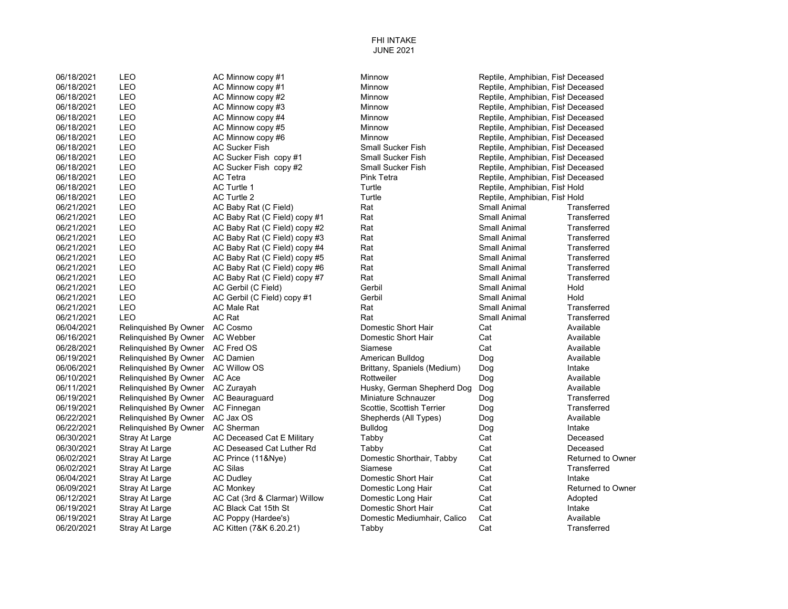06/18/2021 LEO AC Minnow copy #1 Minnow AC Minnow **Minnow Reptile, Amphibian, Fish Deceased** 06/18/2021 LEO AC Minnow copy #1 Minnow Winnow AC Minnow Copy #1 Minnow Minnow Reptile, Amphibian, Fish Deceased 06/18/2021 LEO AC Minnow copy #2 Minnow AC Minnow Reptile, Amphibian, Fish Deceased 06/18/2021 LEO AC Minnow copy #3 Minnow AC Minnow AC Minnow Copy #3 Minnow Minnow Reptile, Amphibian, Fish Deceased 06/18/2021 LEO AC Minnow copy #4 Minnow Winnow AC Minnow Copy #4 Minnow Minnow Reptile, Amphibian, Fish Deceased 06/18/2021 LEO AC Minnow copy #5 Minnow Reptile, Amphibian, FishDeceased 06/18/2021 LEO AC Minnow copy #6 Minnow Minnow Minnow Reptile, Amphibian, Fish Deceased 06/18/2021 LEO AC Sucker Fish Small Sucker Fish Small Sucker Fish Reptile, Amphibian, Fish Deceased 06/18/2021 LEO AC Sucker Fish copy #1 Small Sucker Fish Reptile, Amphibian, FishDeceased 06/18/2021 LEO AC Sucker Fish copy #2 Small Sucker Fish Reptile, Amphibian, Fish Deceased 06/18/2021 LEO AC Tetra Pink Tetra Pink Tetra Reptile, Amphibian, Fish Deceased 06/18/2021 LEO AC Turtle 1 Turtle Turtle Reptile, Amphibian, Fist Hold 06/18/2021 LEO AC Turtle 2 Turtle Turtle Reptile, Amphibian, Fist Hold Company According 2 06/21/2021 LEO AC Baby Rat (C Field) Rat Rat Small Animal Transferred Research Access 06/21/2021 LEO AC Baby Rat (C Field) copy #1 Rat Small Animal Transferred 06/21/2021 LEO AC Baby Rat (C Field) copy #2 Rat Small Animal Transferred Rat Small Animal 06/21/2021 LEO AC Baby Rat (C Field) copy #3 Rat Small Animal Transferred 06/21/2021 LEO AC Baby Rat (C Field) copy #4 Rat Small Animal Transferred Rat Small Animal Transferred Rat Transferred Rat Small Animal 06/21/2021 LEO AC Baby Rat (C Field) copy #5 Rat Small Animal Transferred Contains a Rat Small Animal Transferred 06/21/2021 LEO AC Baby Rat (C Field) copy #6 Rat Small Animal Transferred Contains and Animal Transferred 06/21/2021 LEO AC Baby Rat (C Field) copy #7 Rat Small Animal Transferred Contains and Research AC Baby Rat Rat 06/21/2021 LEO AC Gerbil (C Field) Gerbil Muslem Small Animal Hold 06/21/2021 LEO AC Gerbil (C Field) copy #1 Gerbil Small Animal Hold 06/21/2021 LEO AC Male Rat Rat Small Animal Transferred 06/21/2021 LEO AC Rat Rat Small Animal Transferred 06/04/2021 Relinguished By Owner AC Cosmo **Demestic Short Hair** Cat Cat Available 06/16/2021 Relinguished By Owner AC Webber **Demetric Short Hair** Cat Cat Available 06/28/2021 Relinguished By Owner AC Fred OS Siamese Siamese Cat Cat Available 06/19/2021 Relinquished By Owner AC Damien American Bulldog American Bulldog Dog Available 06/06/2021 Relinquished By Owner AC Willow OS Brittany, Spaniels (Medium) Dog Intake 06/10/2021 Relinquished By Owner AC Ace **Rottweiler** Rottweiler **Rottweiler** Dog **Available** 06/11/2021 Relinquished By Owner AC Zurayah Music Schule Husky, German Shepherd Dog Dog Available Available<br>1999/2021 Relinguished By Owner AC Beauraguard Miniature Schnauzer Dog Dog Transferred 06/19/2021 Relinquished By Owner AC Beauraguard Miniature Schnauzer Dog Dog Transferred Communisty of the Dog Transferred Communisty of the United Scottis Scottish Terrier Dog Transferred Communisty of the United Scottish 06/19/2021 Relinquished By Owner AC Finnegan Scottie, Scottish Terrier Dog Transferred 06/22/2021 Relinquished By Owner AC Jax OS Shepherds (All Types) Dog 06/22/2021 Relinguished By Owner AC Sherman Bulldog Bulldog Bulldog Dog Dog Intake 06/30/2021 Stray At Large AC Deceased Cat E Military Tabby Cat Cat Cat Deceased 06/30/2021 Stray At Large AC Deseased Cat Luther Rd Tabby Cat Cat Cat Deceased 06/02/2021 Stray At Large AC Prince (11&Nye) Domestic Shorthair, Tabby Cat Returned to Owner 06/02/2021 Stray At Large AC Silas Siamese Cat Transferred 06/04/2021 Stray At Large AC Dudley Domestic Short Hair Cat Intake 06/09/2021 Stray At Large AC Monkey Domestic Long Hair Cat Returned to Owner 06/12/2021 Stray At Large AC Cat (3rd & Clarmar) Willow Domestic Long Hair Cat Adopted 06/19/2021 Stray At Large AC Black Cat 15th St Domestic Short Hair Cat Intake 06/19/2021 Stray At Large AC Poppy (Hardee's) Domestic Mediumhair, Calico Cat Cat Available 06/20/2021 Stray At Large AC Kitten (7&K 6.20.21) Tabby Cat Cat Transferred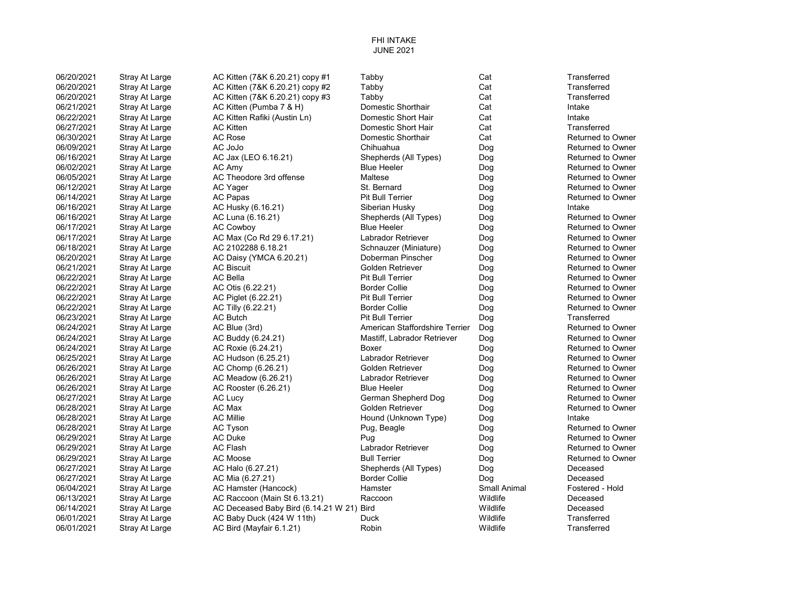| 06/20/2021 | Stray At Large        | AC Kitten (7&K 6.20.21) copy #1           | Tabby                          | Cat          | Transferred              |
|------------|-----------------------|-------------------------------------------|--------------------------------|--------------|--------------------------|
| 06/20/2021 | Stray At Large        | AC Kitten (7&K 6.20.21) copy #2           | Tabby                          | Cat          | Transferred              |
| 06/20/2021 | <b>Stray At Large</b> | AC Kitten (7&K 6.20.21) copy #3           | Tabby                          | Cat          | Transferred              |
| 06/21/2021 | Stray At Large        | AC Kitten (Pumba 7 & H)                   | Domestic Shorthair             | Cat          | Intake                   |
| 06/22/2021 | Stray At Large        | AC Kitten Rafiki (Austin Ln)              | Domestic Short Hair            | Cat          | Intake                   |
| 06/27/2021 | Stray At Large        | <b>AC Kitten</b>                          | Domestic Short Hair            | Cat          | Transferred              |
| 06/30/2021 | Stray At Large        | AC Rose                                   | Domestic Shorthair             | Cat          | <b>Returned to Owner</b> |
| 06/09/2021 | <b>Stray At Large</b> | AC JoJo                                   | Chihuahua                      | Dog          | <b>Returned to Owner</b> |
| 06/16/2021 | Stray At Large        | AC Jax (LEO 6.16.21)                      | Shepherds (All Types)          | Dog          | <b>Returned to Owner</b> |
| 06/02/2021 | Stray At Large        | AC Amy                                    | <b>Blue Heeler</b>             | Dog          | <b>Returned to Owner</b> |
| 06/05/2021 | <b>Stray At Large</b> | AC Theodore 3rd offense                   | Maltese                        | Dog          | <b>Returned to Owner</b> |
| 06/12/2021 | Stray At Large        | AC Yager                                  | St. Bernard                    | Dog          | <b>Returned to Owner</b> |
| 06/14/2021 | Stray At Large        | <b>AC Papas</b>                           | <b>Pit Bull Terrier</b>        | Dog          | <b>Returned to Owner</b> |
| 06/16/2021 | Stray At Large        | AC Husky (6.16.21)                        | Siberian Husky                 | Dog          | Intake                   |
| 06/16/2021 | Stray At Large        | AC Luna (6.16.21)                         | Shepherds (All Types)          | Dog          | <b>Returned to Owner</b> |
| 06/17/2021 | <b>Stray At Large</b> | <b>AC Cowboy</b>                          | <b>Blue Heeler</b>             | Dog          | <b>Returned to Owner</b> |
| 06/17/2021 | Stray At Large        | AC Max (Co Rd 29 6.17.21)                 | Labrador Retriever             | Dog          | <b>Returned to Owner</b> |
| 06/18/2021 | Stray At Large        | AC 2102288 6.18.21                        | Schnauzer (Miniature)          | Dog          | <b>Returned to Owner</b> |
| 06/20/2021 | <b>Stray At Large</b> | AC Daisy (YMCA 6.20.21)                   | Doberman Pinscher              | Dog          | <b>Returned to Owner</b> |
| 06/21/2021 | Stray At Large        | <b>AC Biscuit</b>                         | Golden Retriever               | Dog          | <b>Returned to Owner</b> |
| 06/22/2021 | Stray At Large        | <b>AC Bella</b>                           | <b>Pit Bull Terrier</b>        | Dog          | <b>Returned to Owner</b> |
| 06/22/2021 | Stray At Large        | AC Otis (6.22.21)                         | <b>Border Collie</b>           | Dog          | <b>Returned to Owner</b> |
| 06/22/2021 | Stray At Large        | AC Piglet (6.22.21)                       | <b>Pit Bull Terrier</b>        | Dog          | <b>Returned to Owner</b> |
| 06/22/2021 | Stray At Large        | AC Tilly (6.22.21)                        | <b>Border Collie</b>           | Dog          | <b>Returned to Owner</b> |
| 06/23/2021 | Stray At Large        | AC Butch                                  | <b>Pit Bull Terrier</b>        | Dog          | Transferred              |
| 06/24/2021 | Stray At Large        | AC Blue (3rd)                             | American Staffordshire Terrier | Dog          | <b>Returned to Owner</b> |
| 06/24/2021 | Stray At Large        | AC Buddy (6.24.21)                        | Mastiff, Labrador Retriever    | Dog          | <b>Returned to Owner</b> |
| 06/24/2021 | Stray At Large        | AC Roxie (6.24.21)                        | <b>Boxer</b>                   | Dog          | <b>Returned to Owner</b> |
| 06/25/2021 | Stray At Large        | AC Hudson (6.25.21)                       | Labrador Retriever             | Dog          | <b>Returned to Owner</b> |
| 06/26/2021 | Stray At Large        | AC Chomp (6.26.21)                        | Golden Retriever               | Dog          | <b>Returned to Owner</b> |
| 06/26/2021 | Stray At Large        | AC Meadow (6.26.21)                       | Labrador Retriever             | Dog          | <b>Returned to Owner</b> |
| 06/26/2021 | Stray At Large        | AC Rooster (6.26.21)                      | <b>Blue Heeler</b>             | Dog          | <b>Returned to Owner</b> |
| 06/27/2021 | Stray At Large        | <b>AC Lucy</b>                            | German Shepherd Dog            | Dog          | <b>Returned to Owner</b> |
| 06/28/2021 | Stray At Large        | AC Max                                    | Golden Retriever               | Dog          | <b>Returned to Owner</b> |
| 06/28/2021 | Stray At Large        | <b>AC Millie</b>                          | Hound (Unknown Type)           | Dog          | Intake                   |
| 06/28/2021 | Stray At Large        | AC Tyson                                  | Pug, Beagle                    | Dog          | <b>Returned to Owner</b> |
| 06/29/2021 | Stray At Large        | <b>AC Duke</b>                            | Pug                            | Dog          | <b>Returned to Owner</b> |
| 06/29/2021 | Stray At Large        | <b>AC Flash</b>                           | Labrador Retriever             | Dog          | <b>Returned to Owner</b> |
| 06/29/2021 | Stray At Large        | AC Moose                                  | <b>Bull Terrier</b>            | Dog          | <b>Returned to Owner</b> |
| 06/27/2021 | Stray At Large        | AC Halo (6.27.21)                         | Shepherds (All Types)          | Dog          | Deceased                 |
| 06/27/2021 | Stray At Large        | AC Mia (6.27.21)                          | <b>Border Collie</b>           | Dog          | Deceased                 |
| 06/04/2021 | Stray At Large        | AC Hamster (Hancock)                      | Hamster                        | Small Animal | Fostered - Hold          |
| 06/13/2021 | Stray At Large        | AC Raccoon (Main St 6.13.21)              | Raccoon                        | Wildlife     | Deceased                 |
| 06/14/2021 | Stray At Large        | AC Deceased Baby Bird (6.14.21 W 21) Bird |                                | Wildlife     | Deceased                 |
| 06/01/2021 | Stray At Large        | AC Baby Duck (424 W 11th)                 | Duck                           | Wildlife     | Transferred              |
| 06/01/2021 | Stray At Large        | AC Bird (Mayfair 6.1.21)                  | Robin                          | Wildlife     | Transferred              |
|            |                       |                                           |                                |              |                          |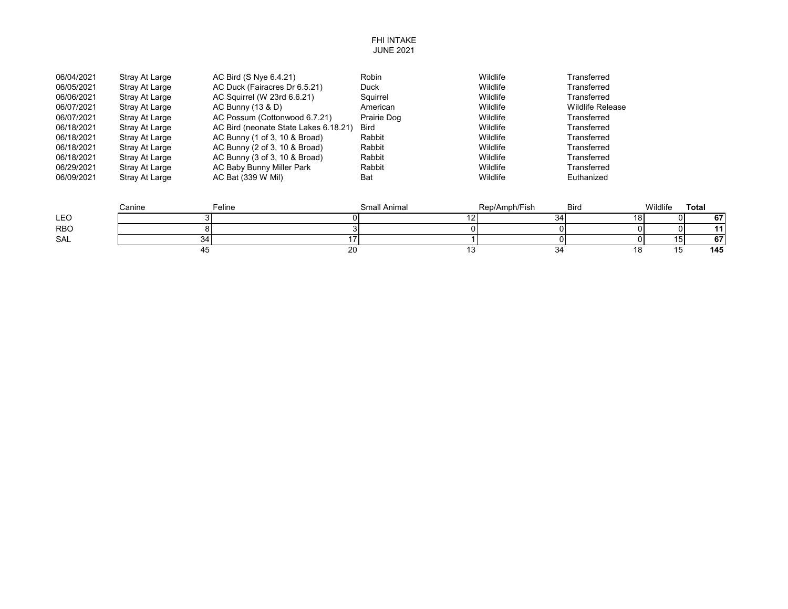| 06/04/2021 | Stray At Large | AC Bird (S Nye 6.4.21)                | Robin       | Wildlife | Transferred             |
|------------|----------------|---------------------------------------|-------------|----------|-------------------------|
| 06/05/2021 | Stray At Large | AC Duck (Fairacres Dr 6.5.21)         | <b>Duck</b> | Wildlife | Transferred             |
| 06/06/2021 | Stray At Large | AC Squirrel (W 23rd 6.6.21)           | Sauirrel    | Wildlife | Transferred             |
| 06/07/2021 | Stray At Large | AC Bunny (13 & D)                     | American    | Wildlife | <b>Wildlife Release</b> |
| 06/07/2021 | Stray At Large | AC Possum (Cottonwood 6.7.21)         | Prairie Dog | Wildlife | Transferred             |
| 06/18/2021 | Stray At Large | AC Bird (neonate State Lakes 6.18.21) | <b>Bird</b> | Wildlife | Transferred             |
| 06/18/2021 | Stray At Large | AC Bunny (1 of 3, 10 & Broad)         | Rabbit      | Wildlife | Transferred             |
| 06/18/2021 | Stray At Large | AC Bunny (2 of 3, 10 & Broad)         | Rabbit      | Wildlife | Transferred             |
| 06/18/2021 | Stray At Large | AC Bunny (3 of 3, 10 & Broad)         | Rabbit      | Wildlife | Transferred             |
| 06/29/2021 | Stray At Large | AC Baby Bunny Miller Park             | Rabbit      | Wildlife | Transferred             |
| 06/09/2021 | Stray At Large | AC Bat (339 W Mil)                    | Bat         | Wildlife | Euthanized              |

|            | Canine | Feline       | Small Animal | Rep/Amph/Fish | <b>Bird</b> | Wildlife | Total |
|------------|--------|--------------|--------------|---------------|-------------|----------|-------|
| <b>LEO</b> |        |              |              | 34            | ıο          |          | cэ    |
| <b>RBO</b> |        |              |              |               |             |          |       |
| SAL        | ◡ຯ     |              |              |               |             | כו'      | c7    |
|            |        | $\sim$<br>∠∪ |              | ບຯ            |             |          | 145   |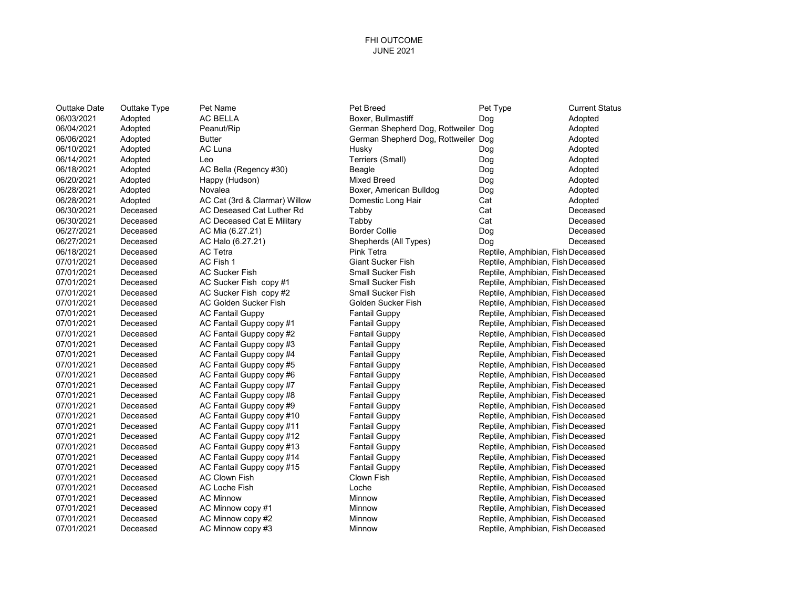### FHI OUTCOME JUNE 2021

| Outtake Date | Outtake<br>Тy |
|--------------|---------------|
| 06/03/2021   | Adopted       |
| 06/04/2021   | Adopted       |
| 06/06/2021   | Adopted       |
| 06/10/2021   | Adopted       |
| 06/14/2021   | Adopted       |
| 06/18/2021   | Adopted       |
| 06/20/2021   | Adopted       |
| 06/28/2021   | Adopted       |
| 06/28/2021   | Adopted       |
| 06/30/2021   | Deceased      |
| 06/30/2021   | Deceased      |
| 06/27/2021   | Deceased      |
| 06/27/2021   | Deceased      |
| 06/18/2021   | Deceased      |
| 07/01/2021   | Deceased      |
| 07/01/2021   | Deceased      |
| 07/01/2021   | Deceased      |
| 07/01/2021   | Deceased      |
| 07/01/2021   | Deceased      |
| 07/01/2021   | Deceased      |
| 07/01/2021   | Deceased      |
| 07/01/2021   | Deceased      |
| 07/01/2021   | Deceased      |
| 07/01/2021   | Deceased      |
| 07/01/2021   | Deceased      |
| 07/01/2021   | Deceased      |
| 07/01/2021   | Deceased      |
| 07/01/2021   | Deceased      |
| 07/01/2021   | Deceased      |
| 07/01/2021   | Deceased      |
| 07/01/2021   | Deceased      |
| 07/01/2021   | Deceased      |
| 07/01/2021   | Deceased      |
| 07/01/2021   | Deceased      |
| 07/01/2021   | Deceased      |
| 07/01/2021   | Deceased      |
| 07/01/2021   | Deceased      |
| 07/01/2021   | Deceased      |
| 07/01/2021   | Deceased      |
| 07/01/2021   | Deceased      |
|              |               |

06/03/2021 Adopted AC BELLA Boxer, Bullmastiff Dog Adopted 06/06/2021 Adopted Butter German Shepherd Dog, Rottweiler Dog Adopted 06/10/2021 Adopted AC Luna Husky Dog Adopted 06/14/2021 Adopted Leo Terriers (Small) Dog Adopted AC Bella (Regency #30) Beagle Dog Adopted<br>Happy (Hudson) Mixed Breed Dog Adopted 06/20/2021 Adopted Happy (Hudson) Mixed Breed Dog Adopted 06/28/2021 Adopted Novalea Boxer, American Bulldog Dog Adopted AC Deseased Cat Luther Rd Tabby Cat Cat Cat Deceased Cat Deceased Cat Deceased Cat Deceased Cat Deceased Cat D

Outtake Date Outtake Type Pet Name Pet Breed Pet Type Current Status

Peanut/Rip **Comeanut Comeanut Comeanut Comeanut** German Shepherd Dog, Rottweiler Dog **Adopted** 06/28/2021 Adopted AC Cat (3rd & Clarmar) Willow Domestic Long Hair Cat Adopted AC Deceased Cat E Military **Cat Example 2006** Tabby Cat Cat Cat Deceased Deceased 06/27/2021 Deceased AC Mia (6.27.21) Border Collie Dog Deceased AC Halo (6.27.21) Shepherds (All Types) Dog Deceased Deceased 06/18/2021 Deceased AC Tetra Pink Tetra Reptile, Amphibian, FishDeceased 07/01/2021 Deceased AC Fish 1 Giant Sucker Fish Reptile, Amphibian, FishDeceased 07/01/2021 Deceased AC Sucker Fish Small Sucker Fish Reptile, Amphibian, FishDeceased AC Sucker Fish copy #1 Small Sucker Fish Reptile, Amphibian, Fish Deceased 07/01/2021 Deceased AC Sucker Fish copy #2 Small Sucker Fish Reptile, Amphibian, FishDeceased 07/01/2021 Deceased AC Golden Sucker Fish Golden Sucker Fish Reptile, Amphibian, FishDeceased 07/01/2021 Deceased AC Fantail Guppy Fantail Guppy Reptile, Amphibian, FishDeceased AC Fantail Guppy copy #1 Fantail Guppy **Company Reptile, Amphibian, Fish Deceased** 07/01/2021 Deceased AC Fantail Guppy copy #2 Fantail Guppy Reptile, Amphibian, FishDeceased 07 AC Fantail Guppy copy #3 Fantail Guppy Fantail Guppy Reptile, Amphibian, Fish Deceased AC Fantail Guppy Fantail Guppy Reptile, Amphibian, Fish Deceased Fantail Guppy **Example 2021** Reptile, Amphibian, Fish Deceased AC Fantail Guppy copy #5 Fantail Guppy **Fantail Guppy Reptile, Amphibian, Fish Deceased** AC Fantail Guppy copy #6 Fantail Guppy **Fantail Guppy Reptile, Amphibian, Fish Deceased** 07/01/2021 Deceased AC Fantail Guppy copy #7 Fantail Guppy Reptile, Amphibian, FishDeceased AC Fantail Guppy copy #8 Fantail Guppy **Reptile, Amphibian, Fish Deceased** Reptile, Amphibian, Fish Deceased AC Fantail Guppy copy #9 Fantail Guppy Fantail Guppy Reptile, Amphibian, Fish Deceased AC Fantail Guppy copy #10 Fantail Guppy Fantail Guppy Reptile, Amphibian, Fish Deceased 07/01/2021 Deceased AC Fantail Guppy copy #11 Fantail Guppy Reptile, Amphibian, FishDeceased AC Fantail Guppy copy #12 Fantail Guppy **Fantail Guppy Reptile, Amphibian, Fish Deceased** AC Fantail Guppy copy #13 Fantail Guppy **Fantail Guppy Reptile, Amphibian, Fish Deceased** AC Fantail Guppy copy #14 Fantail Guppy Fantail Guppy Reptile, Amphibian, Fish Deceased AC Fantail Guppy copy #15 Fantail Guppy **Fantail Guppy Reptile, Amphibian, Fish Deceased** 07/01/2021 Deceased AC Clown Fish Clown Fish Reptile, Amphibian, FishDeceased 07/01/2021 Deceased AC Loche Fish Loche Reptile, Amphibian, FishDeceased AC Minnow **Deceased AC Minnow** Minnow Reptile, Amphibian, Fish Deceased 07/01/2021 Deceased AC Minnow copy #1 Minnow Reptile, Amphibian, FishDeceased 07/01/2021 Deceased AC Minnow copy #2 Minnow Reptile, Amphibian, FishDeceased 07/01/2021 Deceased AC Minnow copy #3 Minnow Minnow Reptile, Amphibian, Fish Deceased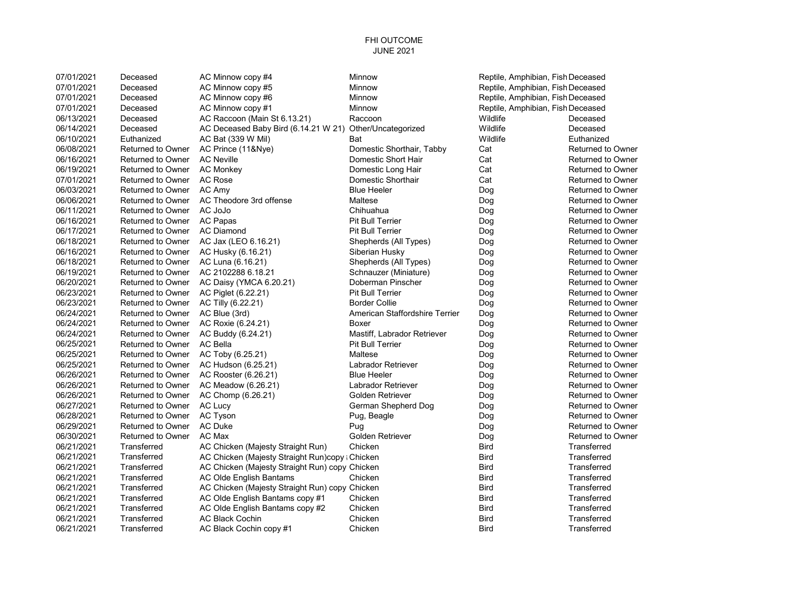| 07/01/2021 | Deceased                 | AC Minnow copy #4                                        | <b>Minnow</b>                  | Reptile, Amphibian, Fish Deceased |                          |
|------------|--------------------------|----------------------------------------------------------|--------------------------------|-----------------------------------|--------------------------|
| 07/01/2021 | Deceased                 | AC Minnow copy #5                                        | <b>Minnow</b>                  | Reptile, Amphibian, Fish Deceased |                          |
| 07/01/2021 | Deceased                 | AC Minnow copy #6                                        | Minnow                         | Reptile, Amphibian, Fish Deceased |                          |
| 07/01/2021 | Deceased                 | AC Minnow copy #1                                        | Minnow                         | Reptile, Amphibian, Fish Deceased |                          |
| 06/13/2021 | Deceased                 | AC Raccoon (Main St 6.13.21)                             | Raccoon                        | Wildlife                          | Deceased                 |
| 06/14/2021 | Deceased                 | AC Deceased Baby Bird (6.14.21 W 21) Other/Uncategorized |                                | Wildlife                          | Deceased                 |
| 06/10/2021 | Euthanized               | AC Bat (339 W Mil)                                       | Bat                            | Wildlife                          | Euthanized               |
| 06/08/2021 | <b>Returned to Owner</b> | AC Prince (11&Nye)                                       | Domestic Shorthair, Tabby      | Cat                               | <b>Returned to Owner</b> |
| 06/16/2021 | <b>Returned to Owner</b> | <b>AC Neville</b>                                        | Domestic Short Hair            | Cat                               | <b>Returned to Owner</b> |
| 06/19/2021 | Returned to Owner        | <b>AC Monkey</b>                                         | Domestic Long Hair             | Cat                               | <b>Returned to Owner</b> |
| 07/01/2021 | <b>Returned to Owner</b> | AC Rose                                                  | Domestic Shorthair             | Cat                               | <b>Returned to Owner</b> |
| 06/03/2021 | <b>Returned to Owner</b> | AC Amy                                                   | <b>Blue Heeler</b>             | Dog                               | <b>Returned to Owner</b> |
| 06/06/2021 | <b>Returned to Owner</b> | AC Theodore 3rd offense                                  | Maltese                        | Dog                               | <b>Returned to Owner</b> |
| 06/11/2021 | <b>Returned to Owner</b> | AC JoJo                                                  | Chihuahua                      | Dog                               | <b>Returned to Owner</b> |
| 06/16/2021 | <b>Returned to Owner</b> | AC Papas                                                 | <b>Pit Bull Terrier</b>        | Dog                               | <b>Returned to Owner</b> |
| 06/17/2021 | <b>Returned to Owner</b> | <b>AC Diamond</b>                                        | <b>Pit Bull Terrier</b>        | Dog                               | <b>Returned to Owner</b> |
| 06/18/2021 | <b>Returned to Owner</b> | AC Jax (LEO 6.16.21)                                     | Shepherds (All Types)          | Dog                               | <b>Returned to Owner</b> |
| 06/16/2021 | <b>Returned to Owner</b> | AC Husky (6.16.21)                                       | Siberian Husky                 | Dog                               | <b>Returned to Owner</b> |
| 06/18/2021 | <b>Returned to Owner</b> | AC Luna (6.16.21)                                        | Shepherds (All Types)          | Dog                               | <b>Returned to Owner</b> |
| 06/19/2021 | <b>Returned to Owner</b> | AC 2102288 6.18.21                                       | Schnauzer (Miniature)          | Dog                               | <b>Returned to Owner</b> |
| 06/20/2021 | <b>Returned to Owner</b> | AC Daisy (YMCA 6.20.21)                                  | Doberman Pinscher              | Dog                               | <b>Returned to Owner</b> |
| 06/23/2021 | <b>Returned to Owner</b> | AC Piglet (6.22.21)                                      | <b>Pit Bull Terrier</b>        | Dog                               | <b>Returned to Owner</b> |
| 06/23/2021 | <b>Returned to Owner</b> | AC Tilly (6.22.21)                                       | <b>Border Collie</b>           | Dog                               | <b>Returned to Owner</b> |
| 06/24/2021 | <b>Returned to Owner</b> | AC Blue (3rd)                                            | American Staffordshire Terrier | Dog                               | <b>Returned to Owner</b> |
| 06/24/2021 | <b>Returned to Owner</b> | AC Roxie (6.24.21)                                       | Boxer                          | Dog                               | <b>Returned to Owner</b> |
| 06/24/2021 | <b>Returned to Owner</b> | AC Buddy (6.24.21)                                       | Mastiff, Labrador Retriever    | Dog                               | <b>Returned to Owner</b> |
| 06/25/2021 | <b>Returned to Owner</b> | <b>AC Bella</b>                                          | Pit Bull Terrier               | Dog                               | <b>Returned to Owner</b> |
| 06/25/2021 | <b>Returned to Owner</b> | AC Toby (6.25.21)                                        | Maltese                        | Dog                               | <b>Returned to Owner</b> |
| 06/25/2021 | <b>Returned to Owner</b> | AC Hudson (6.25.21)                                      | Labrador Retriever             | Dog                               | <b>Returned to Owner</b> |
| 06/26/2021 | <b>Returned to Owner</b> | AC Rooster (6.26.21)                                     | <b>Blue Heeler</b>             | Dog                               | <b>Returned to Owner</b> |
| 06/26/2021 | <b>Returned to Owner</b> | AC Meadow (6.26.21)                                      | Labrador Retriever             | Dog                               | <b>Returned to Owner</b> |
| 06/26/2021 | <b>Returned to Owner</b> | AC Chomp (6.26.21)                                       | Golden Retriever               | Dog                               | <b>Returned to Owner</b> |
| 06/27/2021 | <b>Returned to Owner</b> | <b>AC Lucy</b>                                           | German Shepherd Dog            | Dog                               | <b>Returned to Owner</b> |
| 06/28/2021 | <b>Returned to Owner</b> | AC Tyson                                                 | Pug, Beagle                    | Dog                               | <b>Returned to Owner</b> |
| 06/29/2021 | <b>Returned to Owner</b> | AC Duke                                                  | Pug                            | Dog                               | <b>Returned to Owner</b> |
| 06/30/2021 | <b>Returned to Owner</b> | AC Max                                                   | Golden Retriever               | Dog                               | <b>Returned to Owner</b> |
| 06/21/2021 | Transferred              | AC Chicken (Majesty Straight Run)                        | Chicken                        | <b>Bird</b>                       | Transferred              |
| 06/21/2021 | Transferred              | AC Chicken (Majesty Straight Run)copy; Chicken           |                                | <b>Bird</b>                       | Transferred              |
| 06/21/2021 | Transferred              | AC Chicken (Majesty Straight Run) copy Chicken           |                                | Bird                              | Transferred              |
| 06/21/2021 | Transferred              | AC Olde English Bantams                                  | Chicken                        | <b>Bird</b>                       | Transferred              |
| 06/21/2021 | Transferred              | AC Chicken (Majesty Straight Run) copy Chicken           |                                | <b>Bird</b>                       | Transferred              |
| 06/21/2021 | Transferred              | AC Olde English Bantams copy #1                          | Chicken                        | <b>Bird</b>                       | Transferred              |
| 06/21/2021 | Transferred              | AC Olde English Bantams copy #2                          | Chicken                        | <b>Bird</b>                       | Transferred              |
| 06/21/2021 | Transferred              | <b>AC Black Cochin</b>                                   | Chicken                        | <b>Bird</b>                       | Transferred              |
| 06/21/2021 | Transferred              | AC Black Cochin copy #1                                  | Chicken                        | <b>Bird</b>                       | Transferred              |
|            |                          |                                                          |                                |                                   |                          |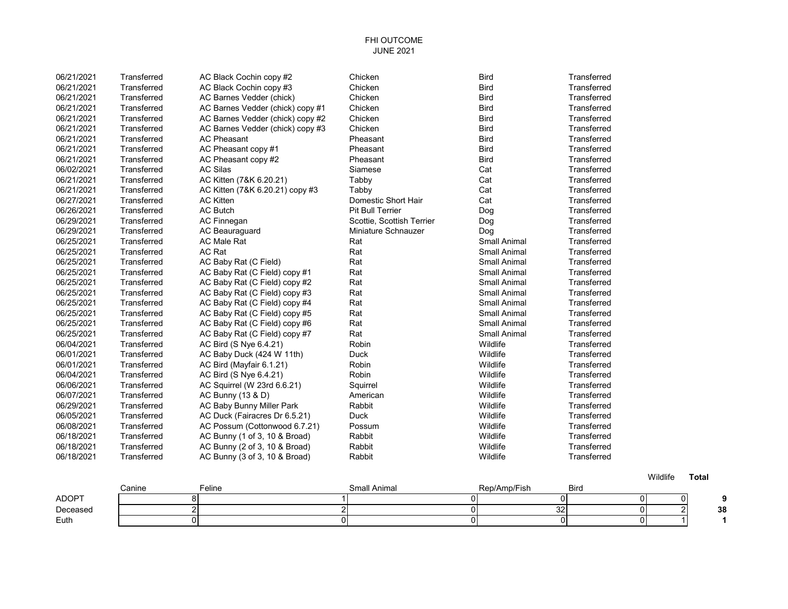## FHI OUTCOME JUNE 2021

| 06/21/2021 | Transferred | AC Black Cochin copy #2          | Chicken                   | <b>Bird</b>         | Transferred |
|------------|-------------|----------------------------------|---------------------------|---------------------|-------------|
| 06/21/2021 | Transferred | AC Black Cochin copy #3          | Chicken                   | <b>Bird</b>         | Transferred |
| 06/21/2021 | Transferred | AC Barnes Vedder (chick)         | Chicken                   | <b>Bird</b>         | Transferred |
| 06/21/2021 | Transferred | AC Barnes Vedder (chick) copy #1 | Chicken                   | <b>Bird</b>         | Transferred |
| 06/21/2021 | Transferred | AC Barnes Vedder (chick) copy #2 | Chicken                   | <b>Bird</b>         | Transferred |
| 06/21/2021 | Transferred | AC Barnes Vedder (chick) copy #3 | Chicken                   | <b>Bird</b>         | Transferred |
| 06/21/2021 | Transferred | <b>AC Pheasant</b>               | Pheasant                  | <b>Bird</b>         | Transferred |
| 06/21/2021 | Transferred | AC Pheasant copy #1              | Pheasant                  | <b>Bird</b>         | Transferred |
| 06/21/2021 | Transferred | AC Pheasant copy #2              | Pheasant                  | <b>Bird</b>         | Transferred |
| 06/02/2021 | Transferred | <b>AC Silas</b>                  | Siamese                   | Cat                 | Transferred |
| 06/21/2021 | Transferred | AC Kitten (7&K 6.20.21)          | Tabby                     | Cat                 | Transferred |
| 06/21/2021 | Transferred | AC Kitten (7&K 6.20.21) copy #3  | Tabby                     | Cat                 | Transferred |
| 06/27/2021 | Transferred | <b>AC Kitten</b>                 | Domestic Short Hair       | Cat                 | Transferred |
| 06/26/2021 | Transferred | <b>AC Butch</b>                  | <b>Pit Bull Terrier</b>   | Dog                 | Transferred |
| 06/29/2021 | Transferred | <b>AC Finnegan</b>               | Scottie, Scottish Terrier | Dog                 | Transferred |
| 06/29/2021 | Transferred | <b>AC Beauraguard</b>            | Miniature Schnauzer       | Dog                 | Transferred |
| 06/25/2021 | Transferred | <b>AC Male Rat</b>               | Rat                       | <b>Small Animal</b> | Transferred |
| 06/25/2021 | Transferred | <b>AC Rat</b>                    | Rat                       | <b>Small Animal</b> | Transferred |
| 06/25/2021 | Transferred | AC Baby Rat (C Field)            | Rat                       | Small Animal        | Transferred |
| 06/25/2021 | Transferred | AC Baby Rat (C Field) copy #1    | Rat                       | <b>Small Animal</b> | Transferred |
| 06/25/2021 | Transferred | AC Baby Rat (C Field) copy #2    | Rat                       | <b>Small Animal</b> | Transferred |
| 06/25/2021 | Transferred | AC Baby Rat (C Field) copy #3    | Rat                       | <b>Small Animal</b> | Transferred |
| 06/25/2021 | Transferred | AC Baby Rat (C Field) copy #4    | Rat                       | <b>Small Animal</b> | Transferred |
| 06/25/2021 | Transferred | AC Baby Rat (C Field) copy #5    | Rat                       | <b>Small Animal</b> | Transferred |
| 06/25/2021 | Transferred | AC Baby Rat (C Field) copy #6    | Rat                       | <b>Small Animal</b> | Transferred |
| 06/25/2021 | Transferred | AC Baby Rat (C Field) copy #7    | Rat                       | <b>Small Animal</b> | Transferred |
| 06/04/2021 | Transferred | AC Bird (S Nye 6.4.21)           | Robin                     | Wildlife            | Transferred |
| 06/01/2021 | Transferred | AC Baby Duck (424 W 11th)        | Duck                      | Wildlife            | Transferred |
| 06/01/2021 | Transferred | AC Bird (Mayfair 6.1.21)         | Robin                     | Wildlife            | Transferred |
| 06/04/2021 | Transferred | AC Bird (S Nye 6.4.21)           | Robin                     | Wildlife            | Transferred |
| 06/06/2021 | Transferred | AC Squirrel (W 23rd 6.6.21)      | Squirrel                  | Wildlife            | Transferred |
| 06/07/2021 | Transferred | AC Bunny (13 & D)                | American                  | Wildlife            | Transferred |
| 06/29/2021 | Transferred | AC Baby Bunny Miller Park        | Rabbit                    | Wildlife            | Transferred |
| 06/05/2021 | Transferred | AC Duck (Fairacres Dr 6.5.21)    | <b>Duck</b>               | Wildlife            | Transferred |
| 06/08/2021 | Transferred | AC Possum (Cottonwood 6.7.21)    | Possum                    | Wildlife            | Transferred |
| 06/18/2021 | Transferred | AC Bunny (1 of 3, 10 & Broad)    | Rabbit                    | Wildlife            | Transferred |
| 06/18/2021 | Transferred | AC Bunny (2 of 3, 10 & Broad)    | Rabbit                    | Wildlife            | Transferred |
| 06/18/2021 | Transferred | AC Bunny (3 of 3, 10 & Broad)    | Rabbit                    | Wildlife            | Transferred |
|            |             |                                  |                           |                     |             |

|          | Canine | ⊑eline | <b>Small Animal</b> | $\overline{\phantom{a}}$<br>Rep/Amp/Fish | <b>Bird</b> |          |    |
|----------|--------|--------|---------------------|------------------------------------------|-------------|----------|----|
| ADOPT    |        |        |                     |                                          |             | $\Omega$ |    |
| Deceased |        |        |                     | 32 <sub>l</sub>                          |             |          | 38 |
| Euth     |        |        |                     |                                          |             |          |    |

Wildlife **Total**